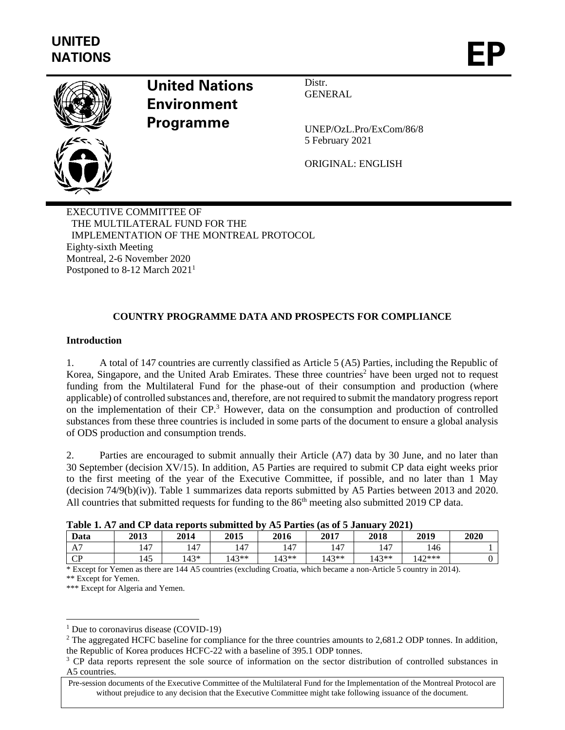

# **United Nations Environment Programme**

Distr. GENERAL

UNEP/OzL.Pro/ExCom/86/8 5 February 2021

ORIGINAL: ENGLISH

EXECUTIVE COMMITTEE OF THE MULTILATERAL FUND FOR THE IMPLEMENTATION OF THE MONTREAL PROTOCOL Eighty-sixth Meeting Montreal, 2-6 November 2020 Postponed to 8-12 March 2021<sup>1</sup>

# **COUNTRY PROGRAMME DATA AND PROSPECTS FOR COMPLIANCE**

## **Introduction**

1. A total of 147 countries are currently classified as Article 5 (A5) Parties, including the Republic of Korea, Singapore, and the United Arab Emirates. These three countries<sup>2</sup> have been urged not to request funding from the Multilateral Fund for the phase-out of their consumption and production (where applicable) of controlled substances and, therefore, are not required to submit the mandatory progress report on the implementation of their CP.<sup>3</sup> However, data on the consumption and production of controlled substances from these three countries is included in some parts of the document to ensure a global analysis of ODS production and consumption trends.

2. Parties are encouraged to submit annually their Article (A7) data by 30 June, and no later than 30 September (decision XV/15). In addition, A5 Parties are required to submit CP data eight weeks prior to the first meeting of the year of the Executive Committee, if possible, and no later than 1 May (decision 74/9(b)(iv)). Table 1 summarizes data reports submitted by A5 Parties between 2013 and 2020. All countries that submitted requests for funding to the 86<sup>th</sup> meeting also submitted 2019 CP data.

| Table 1. A7 and CP data reports submitted by A5 Parties (as of 5 January 2021) |  |  |  |  |
|--------------------------------------------------------------------------------|--|--|--|--|
|--------------------------------------------------------------------------------|--|--|--|--|

| Tuble 1, 11, and CI autu reports submitted by<br>$110$ T at the stage of $\epsilon$ ballants.<br>----- |      |      |         |         |         |         |          |      |  |
|--------------------------------------------------------------------------------------------------------|------|------|---------|---------|---------|---------|----------|------|--|
| Data                                                                                                   | 2013 | 2014 | 2015    | 2016    | 2017    | 2018    | 2019     | 2020 |  |
| A7                                                                                                     | 47ء  | 147  | 147     | 147     | 147     | 147     | 146      |      |  |
| CD<br>ີ                                                                                                | .45  | .43* | $143**$ | $143**$ | $143**$ | $143**$ | $142***$ |      |  |

\* Except for Yemen as there are 144 A5 countries (excluding Croatia, which became a non-Article 5 country in 2014). \*\* Except for Yemen.

\*\*\* Except for Algeria and Yemen.

<sup>&</sup>lt;sup>1</sup> Due to coronavirus disease (COVID-19)

 $2$  The aggregated HCFC baseline for compliance for the three countries amounts to 2,681.2 ODP tonnes. In addition, the Republic of Korea produces HCFC-22 with a baseline of 395.1 ODP tonnes.

<sup>&</sup>lt;sup>3</sup> CP data reports represent the sole source of information on the sector distribution of controlled substances in A5 countries.

Pre-session documents of the Executive Committee of the Multilateral Fund for the Implementation of the Montreal Protocol are without prejudice to any decision that the Executive Committee might take following issuance of the document.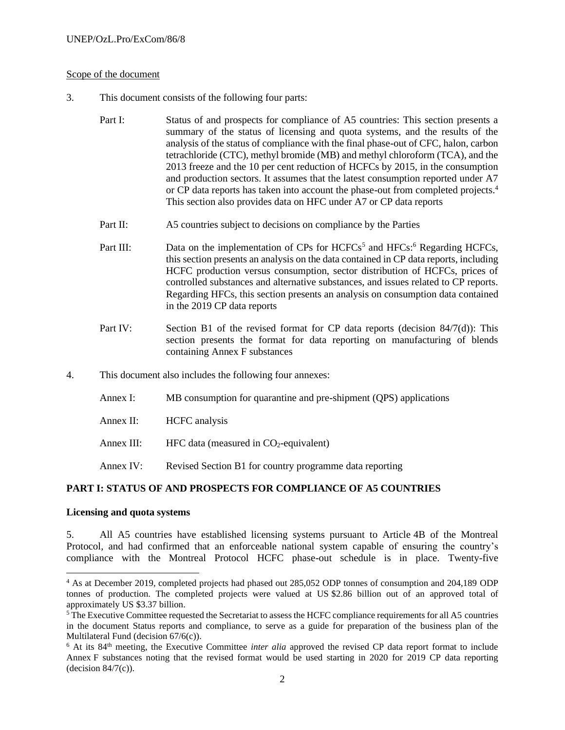#### Scope of the document

- 3. This document consists of the following four parts:
	- Part I: Status of and prospects for compliance of A5 countries: This section presents a summary of the status of licensing and quota systems, and the results of the analysis of the status of compliance with the final phase-out of CFC, halon, carbon tetrachloride (CTC), methyl bromide (MB) and methyl chloroform (TCA), and the 2013 freeze and the 10 per cent reduction of HCFCs by 2015, in the consumption and production sectors. It assumes that the latest consumption reported under A7 or CP data reports has taken into account the phase-out from completed projects.<sup>4</sup> This section also provides data on HFC under A7 or CP data reports
	- Part II: A5 countries subject to decisions on compliance by the Parties
	- Part III: Data on the implementation of CPs for  $HCFCs<sup>5</sup>$  and  $HFCs<sup>6</sup>$  Regarding  $HCFCs$ , this section presents an analysis on the data contained in CP data reports, including HCFC production versus consumption, sector distribution of HCFCs, prices of controlled substances and alternative substances, and issues related to CP reports. Regarding HFCs, this section presents an analysis on consumption data contained in the 2019 CP data reports
	- Part IV: Section B1 of the revised format for CP data reports (decision 84/7(d)): This section presents the format for data reporting on manufacturing of blends containing Annex F substances
- 4. This document also includes the following four annexes:
	- Annex I: MB consumption for quarantine and pre-shipment (QPS) applications
	- Annex II: HCFC analysis
	- Annex III: HFC data (measured in  $CO<sub>2</sub>$ -equivalent)
	- Annex IV: Revised Section B1 for country programme data reporting

#### **PART I: STATUS OF AND PROSPECTS FOR COMPLIANCE OF A5 COUNTRIES**

#### **Licensing and quota systems**

5. All A5 countries have established licensing systems pursuant to Article 4B of the Montreal Protocol, and had confirmed that an enforceable national system capable of ensuring the country's compliance with the Montreal Protocol HCFC phase-out schedule is in place. Twenty-five

<sup>&</sup>lt;sup>4</sup> As at December 2019, completed projects had phased out 285,052 ODP tonnes of consumption and 204,189 ODP tonnes of production. The completed projects were valued at US \$2.86 billion out of an approved total of approximately US \$3.37 billion.

<sup>&</sup>lt;sup>5</sup>The Executive Committee requested the Secretariat to assess the HCFC compliance requirements for all A5 countries in the document Status reports and compliance, to serve as a guide for preparation of the business plan of the Multilateral Fund (decision 67/6(c)).

<sup>&</sup>lt;sup>6</sup> At its 84<sup>th</sup> meeting, the Executive Committee *inter alia* approved the revised CP data report format to include Annex F substances noting that the revised format would be used starting in 2020 for 2019 CP data reporting (decision  $84/7(c)$ ).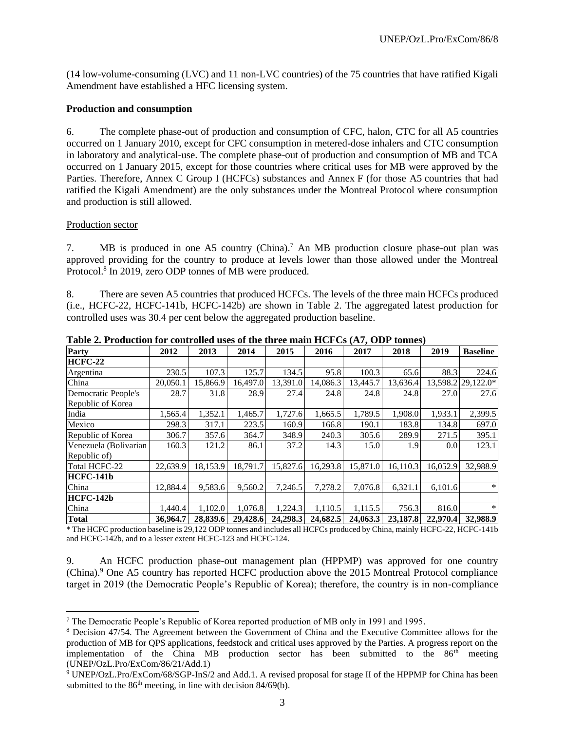(14 low-volume-consuming (LVC) and 11 non-LVC countries) of the 75 countries that have ratified Kigali Amendment have established a HFC licensing system.

#### **Production and consumption**

6. The complete phase-out of production and consumption of CFC, halon, CTC for all A5 countries occurred on 1 January 2010, except for CFC consumption in metered-dose inhalers and CTC consumption in laboratory and analytical-use. The complete phase-out of production and consumption of MB and TCA occurred on 1 January 2015, except for those countries where critical uses for MB were approved by the Parties. Therefore, Annex C Group I (HCFCs) substances and Annex F (for those A5 countries that had ratified the Kigali Amendment) are the only substances under the Montreal Protocol where consumption and production is still allowed.

#### Production sector

7. MB is produced in one A5 country (China).<sup>7</sup> An MB production closure phase-out plan was approved providing for the country to produce at levels lower than those allowed under the Montreal Protocol.<sup>8</sup> In 2019, zero ODP tonnes of MB were produced.

8. There are seven A5 countries that produced HCFCs. The levels of the three main HCFCs produced (i.e., HCFC-22, HCFC-141b, HCFC-142b) are shown in Table 2. The aggregated latest production for controlled uses was 30.4 per cent below the aggregated production baseline.

| Party                 | 2012     | 2013     | 2014     | 2015     | 2016     | 2017     | 2018     | 2019             | <b>Baseline</b>    |
|-----------------------|----------|----------|----------|----------|----------|----------|----------|------------------|--------------------|
| <b>HCFC-22</b>        |          |          |          |          |          |          |          |                  |                    |
| Argentina             | 230.5    | 107.3    | 125.7    | 134.5    | 95.8     | 100.3    | 65.6     | 88.3             | 224.6              |
| China                 | 20,050.1 | 15,866.9 | 16,497.0 | 13,391.0 | 14,086.3 | 13,445.7 | 13,636.4 |                  | 13,598.2 29,122.0* |
| Democratic People's   | 28.7     | 31.8     | 28.9     | 27.4     | 24.8     | 24.8     | 24.8     | 27.0             | 27.6               |
| Republic of Korea     |          |          |          |          |          |          |          |                  |                    |
| India                 | 1,565.4  | 1,352.1  | 1,465.7  | 1,727.6  | 1,665.5  | 1,789.5  | 1,908.0  | 1,933.1          | 2,399.5            |
| Mexico                | 298.3    | 317.1    | 223.5    | 160.9    | 166.8    | 190.1    | 183.8    | 134.8            | 697.0              |
| Republic of Korea     | 306.7    | 357.6    | 364.7    | 348.9    | 240.3    | 305.6    | 289.9    | 271.5            | 395.1              |
| Venezuela (Bolivarian | 160.3    | 121.2    | 86.1     | 37.2     | 14.3     | 15.0     | 1.9      | 0.0 <sub>l</sub> | 123.1              |
| Republic of)          |          |          |          |          |          |          |          |                  |                    |
| Total HCFC-22         | 22,639.9 | 18,153.9 | 18,791.7 | 15,827.6 | 16,293.8 | 15,871.0 | 16,110.3 | 16,052.9         | 32.988.9           |
| <b>HCFC-141b</b>      |          |          |          |          |          |          |          |                  |                    |
| China                 | 12,884.4 | 9,583.6  | 9.560.2  | 7.246.5  | 7,278.2  | 7.076.8  | 6,321.1  | 6,101.6          | $\ast$             |
| <b>HCFC-142b</b>      |          |          |          |          |          |          |          |                  |                    |
| China                 | 1.440.4  | 1.102.0  | 1,076.8  | 1,224.3  | 1,110.5  | 1,115.5  | 756.3    | 816.0            | $\ast$             |
| Total                 | 36,964.7 | 28,839.6 | 29,428.6 | 24,298.3 | 24,682.5 | 24,063.3 | 23,187.8 | 22,970.4         | 32,988.9           |

**Table 2. Production for controlled uses of the three main HCFCs (A7, ODP tonnes)**

\* The HCFC production baseline is 29,122 ODP tonnes and includes all HCFCs produced by China, mainly HCFC-22, HCFC-141b and HCFC-142b, and to a lesser extent HCFC-123 and HCFC-124.

9. An HCFC production phase-out management plan (HPPMP) was approved for one country (China).<sup>9</sup> One A5 country has reported HCFC production above the 2015 Montreal Protocol compliance target in 2019 (the Democratic People's Republic of Korea); therefore, the country is in non-compliance

<sup>7</sup> The Democratic People's Republic of Korea reported production of MB only in 1991 and 1995.

<sup>8</sup> Decision 47/54. The Agreement between the Government of China and the Executive Committee allows for the production of MB for QPS applications, feedstock and critical uses approved by the Parties. A progress report on the implementation of the China MB production sector has been submitted to the  $86<sup>th</sup>$  meeting (UNEP/OzL.Pro/ExCom/86/21/Add.1)

<sup>9</sup> UNEP/OzL.Pro/ExCom/68/SGP-InS/2 and Add.1. A revised proposal for stage II of the HPPMP for China has been submitted to the  $86<sup>th</sup>$  meeting, in line with decision  $84/69$ (b).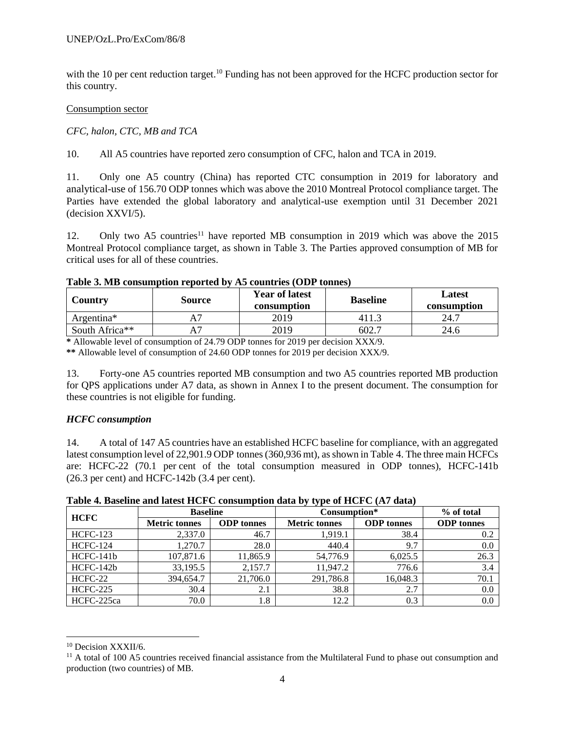with the 10 per cent reduction target.<sup>10</sup> Funding has not been approved for the HCFC production sector for this country.

#### Consumption sector

# *CFC, halon, CTC, MB and TCA*

10. All A5 countries have reported zero consumption of CFC, halon and TCA in 2019.

11. Only one A5 country (China) has reported CTC consumption in 2019 for laboratory and analytical-use of 156.70 ODP tonnes which was above the 2010 Montreal Protocol compliance target. The Parties have extended the global laboratory and analytical-use exemption until 31 December 2021 (decision XXVI/5).

12. Only two A5 countries<sup>11</sup> have reported MB consumption in 2019 which was above the 2015 Montreal Protocol compliance target, as shown in Table 3. The Parties approved consumption of MB for critical uses for all of these countries.

#### **Table 3. MB consumption reported by A5 countries (ODP tonnes)**

| Country                | <b>Source</b> | <b>Year of latest</b><br>consumption | <b>Baseline</b> | Latest<br>consumption |  |
|------------------------|---------------|--------------------------------------|-----------------|-----------------------|--|
| Argentina <sup>*</sup> |               | 2019                                 |                 | 24.7                  |  |
| South Africa**         |               | 2019                                 | 602.            | 24.6                  |  |
| .<br>.                 | ---------     | .                                    | _______<br>.    |                       |  |

**\*** Allowable level of consumption of 24.79 ODP tonnes for 2019 per decision XXX/9.

**\*\*** Allowable level of consumption of 24.60 ODP tonnes for 2019 per decision XXX/9.

13. Forty-one A5 countries reported MB consumption and two A5 countries reported MB production for QPS applications under A7 data, as shown in Annex I to the present document. The consumption for these countries is not eligible for funding.

#### *HCFC consumption*

14. A total of 147 A5 countries have an established HCFC baseline for compliance, with an aggregated latest consumption level of 22,901.9 ODP tonnes (360,936 mt), as shown in Table 4. The three main HCFCs are: HCFC-22 (70.1 per cent of the total consumption measured in ODP tonnes), HCFC-141b (26.3 per cent) and HCFC-142b (3.4 per cent).

|                 |                      |                   | .                    |                   |                   |
|-----------------|----------------------|-------------------|----------------------|-------------------|-------------------|
| <b>HCFC</b>     | <b>Baseline</b>      |                   | Consumption*         |                   | % of total        |
|                 | <b>Metric tonnes</b> | <b>ODP</b> tonnes | <b>Metric tonnes</b> | <b>ODP</b> tonnes | <b>ODP</b> tonnes |
| <b>HCFC-123</b> | 2,337.0              | 46.7              | 1.919.1              | 38.4              | 0.2               |
| <b>HCFC-124</b> | 1.270.7              | 28.0              | 440.4                | 9.7               | 0.0               |
| HCFC-141b       | 107,871.6            | 11,865.9          | 54,776.9             | 6,025.5           | 26.3              |
| HCFC-142b       | 33,195.5             | 2,157.7           | 11,947.2             | 776.6             | 3.4               |
| HCFC-22         | 394,654.7            | 21,706.0          | 291,786.8            | 16,048.3          | 70.1              |
| <b>HCFC-225</b> | 30.4                 | 2.1               | 38.8                 | 2.7               | 0.0               |
| HCFC-225ca      | 70.0                 | 1.8               | 12.2                 | 0.3               | 0.0               |

**Table 4. Baseline and latest HCFC consumption data by type of HCFC (A7 data)**

<sup>10</sup> Decision XXXII/6.

<sup>&</sup>lt;sup>11</sup> A total of 100 A5 countries received financial assistance from the Multilateral Fund to phase out consumption and production (two countries) of MB.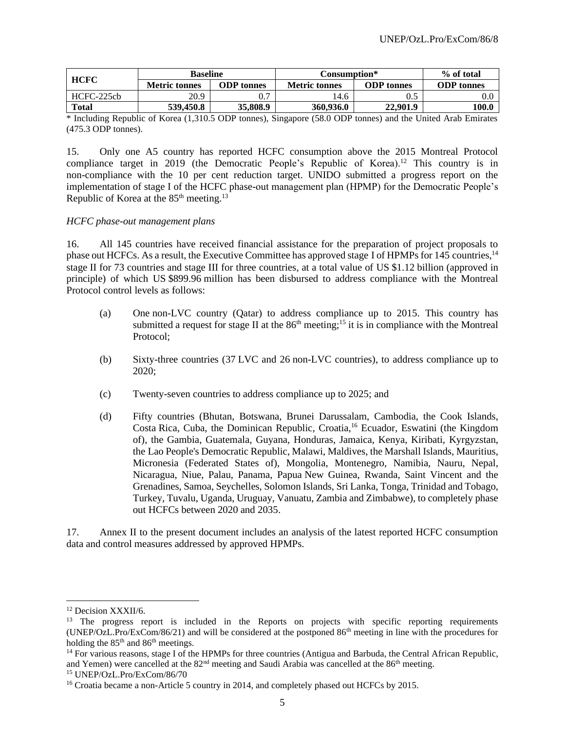| <b>HCFC</b>  | <b>Baseline</b>      |                   | Consumption*         | % of total        |                   |
|--------------|----------------------|-------------------|----------------------|-------------------|-------------------|
|              | <b>Metric tonnes</b> | <b>ODP</b> tonnes | <b>Metric tonnes</b> | <b>ODP</b> tonnes | <b>ODP</b> tonnes |
| $HCFC-225ch$ | 20.9                 | 0.7               | .4.6                 |                   |                   |
| <b>Total</b> | 539,450.8            | 35,808.9          | 360,936.0            | 22,901.9          | 100.0             |

\* Including Republic of Korea (1,310.5 ODP tonnes), Singapore (58.0 ODP tonnes) and the United Arab Emirates (475.3 ODP tonnes).

15. Only one A5 country has reported HCFC consumption above the 2015 Montreal Protocol compliance target in 2019 (the Democratic People's Republic of Korea).<sup>12</sup> This country is in non-compliance with the 10 per cent reduction target. UNIDO submitted a progress report on the implementation of stage I of the HCFC phase-out management plan (HPMP) for the Democratic People's Republic of Korea at the  $85<sup>th</sup>$  meeting.<sup>13</sup>

#### *HCFC phase-out management plans*

16. All 145 countries have received financial assistance for the preparation of project proposals to phase out HCFCs. As a result, the Executive Committee has approved stage I of HPMPs for 145 countries, <sup>14</sup> stage II for 73 countries and stage III for three countries, at a total value of US \$1.12 billion (approved in principle) of which US \$899.96 million has been disbursed to address compliance with the Montreal Protocol control levels as follows:

- (a) One non-LVC country (Qatar) to address compliance up to 2015. This country has submitted a request for stage II at the  $86<sup>th</sup>$  meeting;<sup>15</sup> it is in compliance with the Montreal Protocol;
- (b) Sixty-three countries (37 LVC and 26 non-LVC countries), to address compliance up to 2020;
- (c) Twenty-seven countries to address compliance up to 2025; and
- (d) Fifty countries (Bhutan, Botswana, Brunei Darussalam, Cambodia, the Cook Islands, Costa Rica, Cuba, the Dominican Republic, Croatia,<sup>16</sup> Ecuador, Eswatini (the Kingdom of), the Gambia, Guatemala, Guyana, Honduras, Jamaica, Kenya, Kiribati, Kyrgyzstan, the Lao People's Democratic Republic, Malawi, Maldives, the Marshall Islands, Mauritius, Micronesia (Federated States of), Mongolia, Montenegro, Namibia, Nauru, Nepal, Nicaragua, Niue, Palau, Panama, Papua New Guinea, Rwanda, Saint Vincent and the Grenadines, Samoa, Seychelles, Solomon Islands, Sri Lanka, Tonga, Trinidad and Tobago, Turkey, Tuvalu, Uganda, Uruguay, Vanuatu, Zambia and Zimbabwe), to completely phase out HCFCs between 2020 and 2035.

17. Annex II to the present document includes an analysis of the latest reported HCFC consumption data and control measures addressed by approved HPMPs.

<sup>&</sup>lt;sup>12</sup> Decision XXXII/6.

<sup>&</sup>lt;sup>13</sup> The progress report is included in the Reports on projects with specific reporting requirements (UNEP/OzL.Pro/ExCom/86/21) and will be considered at the postponed 86th meeting in line with the procedures for holding the 85<sup>th</sup> and 86<sup>th</sup> meetings.

<sup>&</sup>lt;sup>14</sup> For various reasons, stage I of the HPMPs for three countries (Antigua and Barbuda, the Central African Republic, and Yemen) were cancelled at the  $82<sup>nd</sup>$  meeting and Saudi Arabia was cancelled at the  $86<sup>th</sup>$  meeting.

<sup>15</sup> UNEP/OzL.Pro/ExCom/86/70

<sup>&</sup>lt;sup>16</sup> Croatia became a non-Article 5 country in 2014, and completely phased out HCFCs by 2015.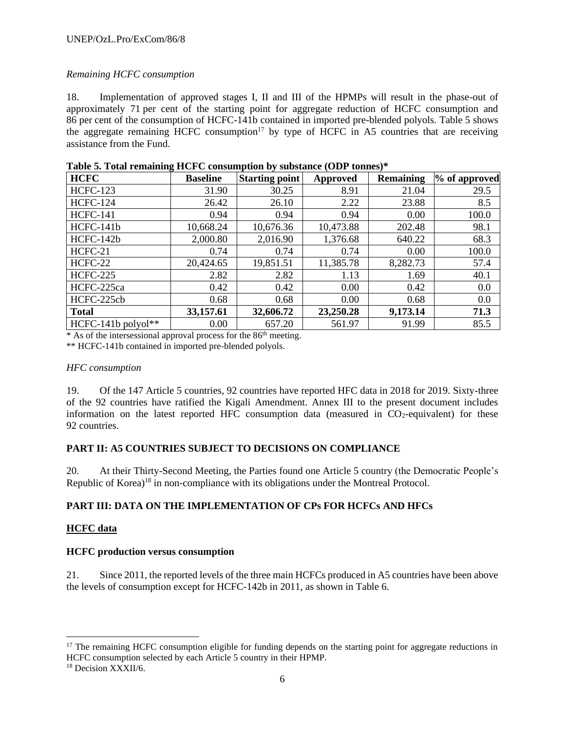# *Remaining HCFC consumption*

18. Implementation of approved stages I, II and III of the HPMPs will result in the phase-out of approximately 71 per cent of the starting point for aggregate reduction of HCFC consumption and 86 per cent of the consumption of HCFC-141b contained in imported pre-blended polyols. Table 5 shows the aggregate remaining HCFC consumption<sup>17</sup> by type of HCFC in A5 countries that are receiving assistance from the Fund.

| <b>HCFC</b>          | <b>Baseline</b> | <b>Starting point</b> | Approved  | <b>Remaining</b> | % of approved |
|----------------------|-----------------|-----------------------|-----------|------------------|---------------|
| <b>HCFC-123</b>      | 31.90           | 30.25                 | 8.91      | 21.04            | 29.5          |
| <b>HCFC-124</b>      | 26.42           | 26.10                 | 2.22      | 23.88            | 8.5           |
| <b>HCFC-141</b>      | 0.94            | 0.94                  | 0.94      | 0.00             | 100.0         |
| HCFC-141b            | 10,668.24       | 10,676.36             | 10,473.88 | 202.48           | 98.1          |
| HCFC-142b            | 2,000.80        | 2,016.90              | 1,376.68  | 640.22           | 68.3          |
| HCFC-21              | 0.74            | 0.74                  | 0.74      | 0.00             | 100.0         |
| HCFC-22              | 20,424.65       | 19,851.51             | 11,385.78 | 8,282.73         | 57.4          |
| <b>HCFC-225</b>      | 2.82            | 2.82                  | 1.13      | 1.69             | 40.1          |
| HCFC-225ca           | 0.42            | 0.42                  | 0.00      | 0.42             | 0.0           |
| HCFC-225cb           | 0.68            | 0.68                  | 0.00      | 0.68             | 0.0           |
| <b>Total</b>         | 33,157.61       | 32,606.72             | 23,250.28 | 9,173.14         | 71.3          |
| $HCFC-141b$ polyol** | 0.00            | 657.20                | 561.97    | 91.99            | 85.5          |

| Table 5. Total remaining HCFC consumption by substance (ODP tonnes)* |  |
|----------------------------------------------------------------------|--|
|----------------------------------------------------------------------|--|

\* As of the intersessional approval process for the 86 th meeting.

\*\* HCFC-141b contained in imported pre-blended polyols.

#### *HFC consumption*

19. Of the 147 Article 5 countries, 92 countries have reported HFC data in 2018 for 2019. Sixty-three of the 92 countries have ratified the Kigali Amendment. Annex III to the present document includes information on the latest reported HFC consumption data (measured in  $CO<sub>2</sub>$ -equivalent) for these 92 countries.

# **PART II: A5 COUNTRIES SUBJECT TO DECISIONS ON COMPLIANCE**

20. At their Thirty-Second Meeting, the Parties found one Article 5 country (the Democratic People's Republic of Korea)<sup>18</sup> in non-compliance with its obligations under the Montreal Protocol.

# **PART III: DATA ON THE IMPLEMENTATION OF CPs FOR HCFCs AND HFCs**

#### **HCFC data**

#### **HCFC production versus consumption**

21. Since 2011, the reported levels of the three main HCFCs produced in A5 countries have been above the levels of consumption except for HCFC-142b in 2011, as shown in Table 6.

 $17$  The remaining HCFC consumption eligible for funding depends on the starting point for aggregate reductions in HCFC consumption selected by each Article 5 country in their HPMP.

<sup>18</sup> Decision XXXII/6.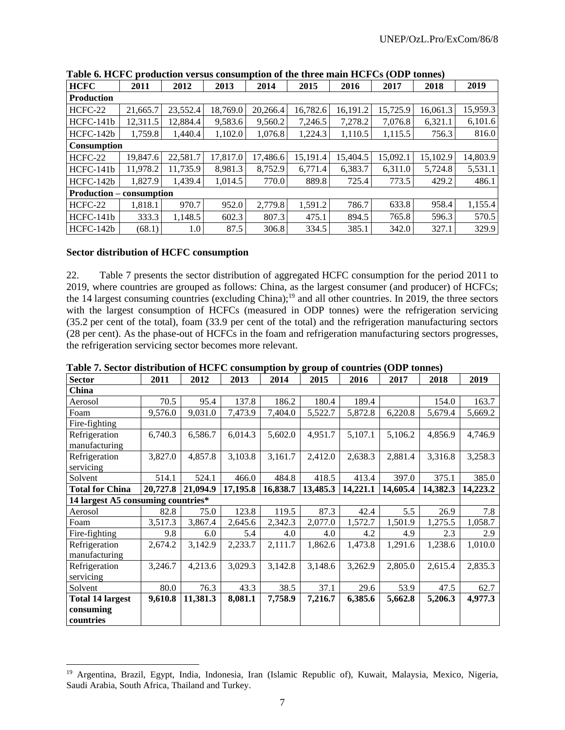| <b>HCFC</b>                     | 2011     | 2012     | 2013     | 2014     | 2015     | 2016     | 2017     | 2018     | 2019     |  |  |  |
|---------------------------------|----------|----------|----------|----------|----------|----------|----------|----------|----------|--|--|--|
| <b>Production</b>               |          |          |          |          |          |          |          |          |          |  |  |  |
| HCFC-22                         | 21,665.7 | 23,552.4 | 18,769.0 | 20,266.4 | 16,782.6 | 16,191.2 | 15,725.9 | 16,061.3 | 15,959.3 |  |  |  |
| $HCFC-141b$                     | 12,311.5 | 12,884.4 | 9.583.6  | 9,560.2  | 7,246.5  | 7,278.2  | 7,076.8  | 6,321.1  | 6,101.6  |  |  |  |
| $HCFC-142b$                     | 1,759.8  | 1,440.4  | 1,102.0  | 1,076.8  | 1,224.3  | 1,110.5  | 1,115.5  | 756.3    | 816.0    |  |  |  |
| <b>Consumption</b>              |          |          |          |          |          |          |          |          |          |  |  |  |
| HCFC-22                         | 19,847.6 | 22,581.7 | 17,817.0 | 17,486.6 | 15,191.4 | 15,404.5 | 15,092.1 | 15,102.9 | 14,803.9 |  |  |  |
| $HCFC-141b$                     | 11.978.2 | 11.735.9 | 8.981.3  | 8.752.9  | 6.771.4  | 6.383.7  | 6.311.0  | 5.724.8  | 5,531.1  |  |  |  |
| $HCFC-142b$                     | 1.827.9  | 1,439.4  | 1,014.5  | 770.0    | 889.8    | 725.4    | 773.5    | 429.2    | 486.1    |  |  |  |
| <b>Production – consumption</b> |          |          |          |          |          |          |          |          |          |  |  |  |
| HCFC-22                         | 1,818.1  | 970.7    | 952.0    | 2,779.8  | 1,591.2  | 786.7    | 633.8    | 958.4    | 1,155.4  |  |  |  |
| $HCFC-141b$                     | 333.3    | 1,148.5  | 602.3    | 807.3    | 475.1    | 894.5    | 765.8    | 596.3    | 570.5    |  |  |  |
| $HCFC-142b$                     | (68.1)   | $1.0\,$  | 87.5     | 306.8    | 334.5    | 385.1    | 342.0    | 327.1    | 329.9    |  |  |  |

**Table 6. HCFC production versus consumption of the three main HCFCs (ODP tonnes)**

#### **Sector distribution of HCFC consumption**

22. Table 7 presents the sector distribution of aggregated HCFC consumption for the period 2011 to 2019, where countries are grouped as follows: China, as the largest consumer (and producer) of HCFCs; the 14 largest consuming countries (excluding China);<sup>19</sup> and all other countries. In 2019, the three sectors with the largest consumption of HCFCs (measured in ODP tonnes) were the refrigeration servicing (35.2 per cent of the total), foam (33.9 per cent of the total) and the refrigeration manufacturing sectors (28 per cent). As the phase-out of HCFCs in the foam and refrigeration manufacturing sectors progresses, the refrigeration servicing sector becomes more relevant.

| <b>Sector</b>                                     | 2011     | 2012     | 2013     | 2014     | 2015     | 2016     | 2017     | 2018     | 2019     |
|---------------------------------------------------|----------|----------|----------|----------|----------|----------|----------|----------|----------|
| China                                             |          |          |          |          |          |          |          |          |          |
| Aerosol                                           | 70.5     | 95.4     | 137.8    | 186.2    | 180.4    | 189.4    |          | 154.0    | 163.7    |
| Foam                                              | 9,576.0  | 9,031.0  | 7,473.9  | 7,404.0  | 5,522.7  | 5,872.8  | 6,220.8  | 5,679.4  | 5,669.2  |
| Fire-fighting                                     |          |          |          |          |          |          |          |          |          |
| Refrigeration<br>manufacturing                    | 6,740.3  | 6,586.7  | 6,014.3  | 5,602.0  | 4,951.7  | 5,107.1  | 5,106.2  | 4,856.9  | 4,746.9  |
| Refrigeration<br>servicing                        | 3,827.0  | 4,857.8  | 3,103.8  | 3,161.7  | 2,412.0  | 2,638.3  | 2,881.4  | 3,316.8  | 3,258.3  |
| Solvent                                           | 514.1    | 524.1    | 466.0    | 484.8    | 418.5    | 413.4    | 397.0    | 375.1    | 385.0    |
| <b>Total for China</b>                            | 20,727.8 | 21,094.9 | 17,195.8 | 16,838.7 | 13,485.3 | 14,221.1 | 14,605.4 | 14,382.3 | 14,223.2 |
| 14 largest A5 consuming countries*                |          |          |          |          |          |          |          |          |          |
| Aerosol                                           | 82.8     | 75.0     | 123.8    | 119.5    | 87.3     | 42.4     | 5.5      | 26.9     | 7.8      |
| Foam                                              | 3,517.3  | 3,867.4  | 2,645.6  | 2,342.3  | 2,077.0  | 1,572.7  | 1,501.9  | 1,275.5  | 1,058.7  |
| Fire-fighting                                     | 9.8      | 6.0      | 5.4      | 4.0      | 4.0      | 4.2      | 4.9      | 2.3      | 2.9      |
| Refrigeration<br>manufacturing                    | 2,674.2  | 3,142.9  | 2,233.7  | 2,111.7  | 1,862.6  | 1,473.8  | 1,291.6  | 1,238.6  | 1,010.0  |
| Refrigeration<br>servicing                        | 3,246.7  | 4,213.6  | 3,029.3  | 3,142.8  | 3,148.6  | 3,262.9  | 2,805.0  | 2,615.4  | 2,835.3  |
| Solvent                                           | 80.0     | 76.3     | 43.3     | 38.5     | 37.1     | 29.6     | 53.9     | 47.5     | 62.7     |
| <b>Total 14 largest</b><br>consuming<br>countries | 9,610.8  | 11,381.3 | 8,081.1  | 7,758.9  | 7,216.7  | 6,385.6  | 5,662.8  | 5,206.3  | 4,977.3  |

**Table 7. Sector distribution of HCFC consumption by group of countries (ODP tonnes)**

<sup>19</sup> Argentina, Brazil, Egypt, India, Indonesia, Iran (Islamic Republic of), Kuwait, Malaysia, Mexico, Nigeria, Saudi Arabia, South Africa, Thailand and Turkey.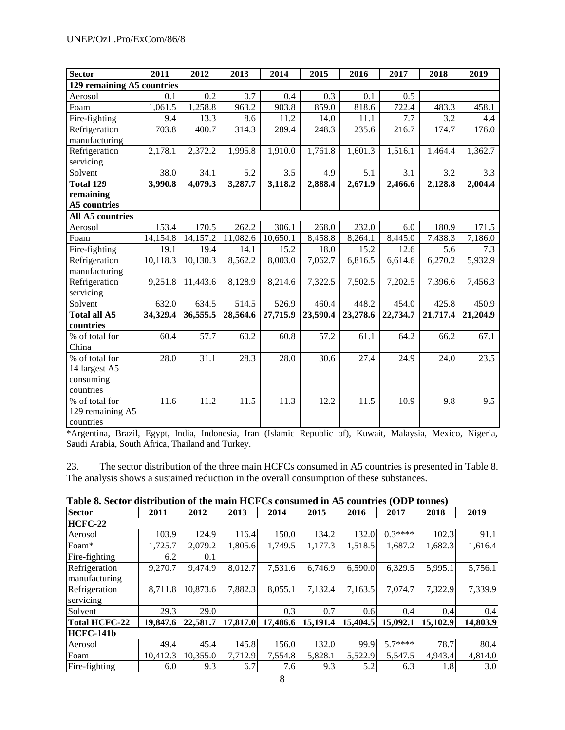| Sector                     | 2011     | 2012     | 2013     | 2014     | 2015     | 2016     | 2017     | 2018     | 2019     |
|----------------------------|----------|----------|----------|----------|----------|----------|----------|----------|----------|
| 129 remaining A5 countries |          |          |          |          |          |          |          |          |          |
| Aerosol                    | 0.1      | 0.2      | 0.7      | 0.4      | 0.3      | 0.1      | 0.5      |          |          |
| Foam                       | 1,061.5  | 1,258.8  | 963.2    | 903.8    | 859.0    | 818.6    | 722.4    | 483.3    | 458.1    |
| Fire-fighting              | 9.4      | 13.3     | 8.6      | 11.2     | 14.0     | 11.1     | 7.7      | 3.2      | 4.4      |
| Refrigeration              | 703.8    | 400.7    | 314.3    | 289.4    | 248.3    | 235.6    | 216.7    | 174.7    | 176.0    |
| manufacturing              |          |          |          |          |          |          |          |          |          |
| Refrigeration              | 2,178.1  | 2,372.2  | 1,995.8  | 1,910.0  | 1,761.8  | 1,601.3  | 1,516.1  | 1,464.4  | 1,362.7  |
| servicing                  |          |          |          |          |          |          |          |          |          |
| Solvent                    | 38.0     | 34.1     | 5.2      | 3.5      | 4.9      | 5.1      | 3.1      | 3.2      | 3.3      |
| Total 129                  | 3,990.8  | 4,079.3  | 3,287.7  | 3,118.2  | 2,888.4  | 2,671.9  | 2,466.6  | 2,128.8  | 2,004.4  |
| remaining                  |          |          |          |          |          |          |          |          |          |
| <b>A5</b> countries        |          |          |          |          |          |          |          |          |          |
| <b>All A5 countries</b>    |          |          |          |          |          |          |          |          |          |
| Aerosol                    | 153.4    | 170.5    | 262.2    | 306.1    | 268.0    | 232.0    | 6.0      | 180.9    | 171.5    |
| Foam                       | 14,154.8 | 14,157.2 | 11,082.6 | 10,650.1 | 8,458.8  | 8,264.1  | 8,445.0  | 7,438.3  | 7,186.0  |
| Fire-fighting              | 19.1     | 19.4     | 14.1     | 15.2     | 18.0     | 15.2     | 12.6     | 5.6      | 7.3      |
| Refrigeration              | 10,118.3 | 10,130.3 | 8,562.2  | 8,003.0  | 7,062.7  | 6,816.5  | 6,614.6  | 6,270.2  | 5,932.9  |
| manufacturing              |          |          |          |          |          |          |          |          |          |
| Refrigeration              | 9,251.8  | 11,443.6 | 8,128.9  | 8,214.6  | 7,322.5  | 7,502.5  | 7,202.5  | 7,396.6  | 7,456.3  |
| servicing                  |          |          |          |          |          |          |          |          |          |
| Solvent                    | 632.0    | 634.5    | 514.5    | 526.9    | 460.4    | 448.2    | 454.0    | 425.8    | 450.9    |
| Total all A5               | 34,329.4 | 36,555.5 | 28,564.6 | 27,715.9 | 23,590.4 | 23,278.6 | 22,734.7 | 21,717.4 | 21,204.9 |
| countries                  |          |          |          |          |          |          |          |          |          |
| % of total for             | 60.4     | 57.7     | 60.2     | 60.8     | 57.2     | 61.1     | 64.2     | 66.2     | 67.1     |
| China                      |          |          |          |          |          |          |          |          |          |
| % of total for             | 28.0     | 31.1     | 28.3     | 28.0     | 30.6     | 27.4     | 24.9     | 24.0     | 23.5     |
| 14 largest A5              |          |          |          |          |          |          |          |          |          |
| consuming                  |          |          |          |          |          |          |          |          |          |
| countries                  |          |          |          |          |          |          |          |          |          |
| % of total for             | 11.6     | 11.2     | 11.5     | 11.3     | 12.2     | 11.5     | 10.9     | 9.8      | 9.5      |
| 129 remaining A5           |          |          |          |          |          |          |          |          |          |
| countries                  |          |          |          |          |          |          |          |          |          |

\*Argentina, Brazil, Egypt, India, Indonesia, Iran (Islamic Republic of), Kuwait, Malaysia, Mexico, Nigeria, Saudi Arabia, South Africa, Thailand and Turkey.

23. The sector distribution of the three main HCFCs consumed in A5 countries is presented in Table 8. The analysis shows a sustained reduction in the overall consumption of these substances.

| <b>Sector</b>        | 2011     | 2012     | 2013     | 2014     | 2015     | 2016     | 2017     | 2018     | 2019     |
|----------------------|----------|----------|----------|----------|----------|----------|----------|----------|----------|
| <b>HCFC-22</b>       |          |          |          |          |          |          |          |          |          |
| Aerosol              | 103.9    | 124.9    | 116.4    | 150.0    | 134.2    | 132.0    | $0.3***$ | 102.3    | 91.1     |
| Foam*                | 1,725.7  | 2,079.2  | 1,805.6  | 1.749.5  | 1,177.3  | 1,518.5  | 1,687.2  | 1,682.3  | 1,616.4  |
| Fire-fighting        | 6.2      | 0.1      |          |          |          |          |          |          |          |
| Refrigeration        | 9,270.7  | 9,474.9  | 8,012.7  | 7,531.6  | 6,746.9  | 6,590.0  | 6,329.5  | 5,995.1  | 5,756.1  |
| manufacturing        |          |          |          |          |          |          |          |          |          |
| Refrigeration        | 8,711.8  | 10,873.6 | 7,882.3  | 8,055.1  | 7,132.4  | 7,163.5  | 7,074.7  | 7,322.9  | 7,339.9  |
| servicing            |          |          |          |          |          |          |          |          |          |
| Solvent              | 29.3     | 29.0     |          | 0.3      | 0.7      | 0.6      | 0.4      | 0.4      | 0.4      |
| <b>Total HCFC-22</b> | 19,847.6 | 22,581.7 | 17,817.0 | 17,486.6 | 15,191.4 | 15,404.5 | 15,092.1 | 15,102.9 | 14,803.9 |
| <b>HCFC-141b</b>     |          |          |          |          |          |          |          |          |          |
| Aerosol              | 49.4     | 45.4     | 145.8    | 156.0    | 132.0    | 99.9     | $5.7***$ | 78.7     | 80.4     |
| Foam                 | 10,412.3 | 10,355.0 | 7,712.9  | 7,554.8  | 5,828.1  | 5,522.9  | 5,547.5  | 4,943.4  | 4,814.0  |
| Fire-fighting        | 6.0      | 9.3      | 6.7      | 7.61     | 9.3      | 5.2      | 6.3      | 1.8      | 3.0      |
|                      |          |          |          | $\Omega$ |          |          |          |          |          |

| Table 8. Sector distribution of the main HCFCs consumed in A5 countries (ODP tonnes) |  |  |  |  |
|--------------------------------------------------------------------------------------|--|--|--|--|
|                                                                                      |  |  |  |  |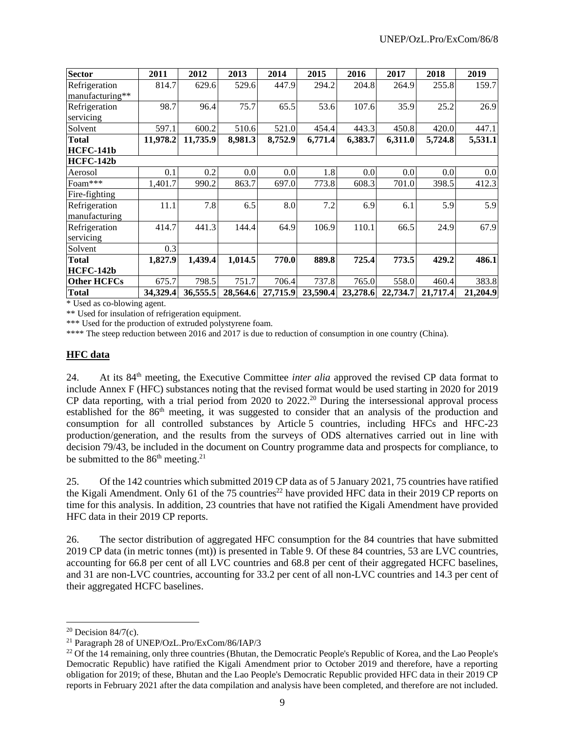| <b>Sector</b>      | 2011     | 2012     | 2013     | 2014     | 2015     | 2016     | 2017     | 2018     | 2019     |
|--------------------|----------|----------|----------|----------|----------|----------|----------|----------|----------|
| Refrigeration      | 814.7    | 629.6    | 529.6    | 447.9    | 294.2    | 204.8    | 264.9    | 255.8    | 159.7    |
| manufacturing**    |          |          |          |          |          |          |          |          |          |
| Refrigeration      | 98.7     | 96.4     | 75.7     | 65.5     | 53.6     | 107.6    | 35.9     | 25.2     | 26.9     |
| servicing          |          |          |          |          |          |          |          |          |          |
| Solvent            | 597.1    | 600.2    | 510.6    | 521.0    | 454.4    | 443.3    | 450.8    | 420.0    | 447.1    |
| <b>Total</b>       | 11,978.2 | 11,735.9 | 8,981.3  | 8,752.9  | 6,771.4  | 6,383.7  | 6,311.0  | 5,724.8  | 5,531.1  |
| HCFC-141b          |          |          |          |          |          |          |          |          |          |
| HCFC-142b          |          |          |          |          |          |          |          |          |          |
| Aerosol            | 0.1      | 0.2      | 0.0      | 0.0      | 1.8      | 0.0      | 0.0      | 0.0      | 0.0      |
| Foam***            | 1,401.7  | 990.2    | 863.7    | 697.0    | 773.8    | 608.3    | 701.0    | 398.5    | 412.3    |
| Fire-fighting      |          |          |          |          |          |          |          |          |          |
| Refrigeration      | 11.1     | 7.8      | 6.5      | 8.0      | 7.2      | 6.9      | 6.1      | 5.9      | 5.9      |
| manufacturing      |          |          |          |          |          |          |          |          |          |
| Refrigeration      | 414.7    | 441.3    | 144.4    | 64.9     | 106.9    | 110.1    | 66.5     | 24.9     | 67.9     |
| servicing          |          |          |          |          |          |          |          |          |          |
| Solvent            | 0.3      |          |          |          |          |          |          |          |          |
| <b>Total</b>       | 1,827.9  | 1,439.4  | 1,014.5  | 770.0    | 889.8    | 725.4    | 773.5    | 429.2    | 486.1    |
| HCFC-142b          |          |          |          |          |          |          |          |          |          |
| <b>Other HCFCs</b> | 675.7    | 798.5    | 751.7    | 706.4    | 737.8    | 765.0    | 558.0    | 460.4    | 383.8    |
| <b>Total</b>       | 34,329.4 | 36,555.5 | 28,564.6 | 27,715.9 | 23,590.4 | 23,278.6 | 22,734.7 | 21,717.4 | 21,204.9 |

\* Used as co-blowing agent.

\*\* Used for insulation of refrigeration equipment.

\*\*\* Used for the production of extruded polystyrene foam.

\*\*\*\* The steep reduction between 2016 and 2017 is due to reduction of consumption in one country (China).

#### **HFC data**

24. At its 84th meeting, the Executive Committee *inter alia* approved the revised CP data format to include Annex F (HFC) substances noting that the revised format would be used starting in 2020 for 2019 CP data reporting, with a trial period from 2020 to 2022.<sup>20</sup> During the intersessional approval process established for the 86<sup>th</sup> meeting, it was suggested to consider that an analysis of the production and consumption for all controlled substances by Article 5 countries, including HFCs and HFC-23 production/generation, and the results from the surveys of ODS alternatives carried out in line with decision 79/43, be included in the document on Country programme data and prospects for compliance, to be submitted to the  $86<sup>th</sup>$  meeting.<sup>21</sup>

25. Of the 142 countries which submitted 2019 CP data as of 5 January 2021, 75 countries have ratified the Kigali Amendment. Only 61 of the 75 countries<sup>22</sup> have provided HFC data in their 2019 CP reports on time for this analysis. In addition, 23 countries that have not ratified the Kigali Amendment have provided HFC data in their 2019 CP reports.

26. The sector distribution of aggregated HFC consumption for the 84 countries that have submitted 2019 CP data (in metric tonnes (mt)) is presented in Table 9. Of these 84 countries, 53 are LVC countries, accounting for 66.8 per cent of all LVC countries and 68.8 per cent of their aggregated HCFC baselines, and 31 are non-LVC countries, accounting for 33.2 per cent of all non-LVC countries and 14.3 per cent of their aggregated HCFC baselines.

 $20$  Decision 84/7(c).

<sup>21</sup> Paragraph 28 of UNEP/OzL.Pro/ExCom/86/IAP/3

<sup>&</sup>lt;sup>22</sup> Of the 14 remaining, only three countries (Bhutan, the Democratic People's Republic of Korea, and the Lao People's Democratic Republic) have ratified the Kigali Amendment prior to October 2019 and therefore, have a reporting obligation for 2019; of these, Bhutan and the Lao People's Democratic Republic provided HFC data in their 2019 CP reports in February 2021 after the data compilation and analysis have been completed, and therefore are not included.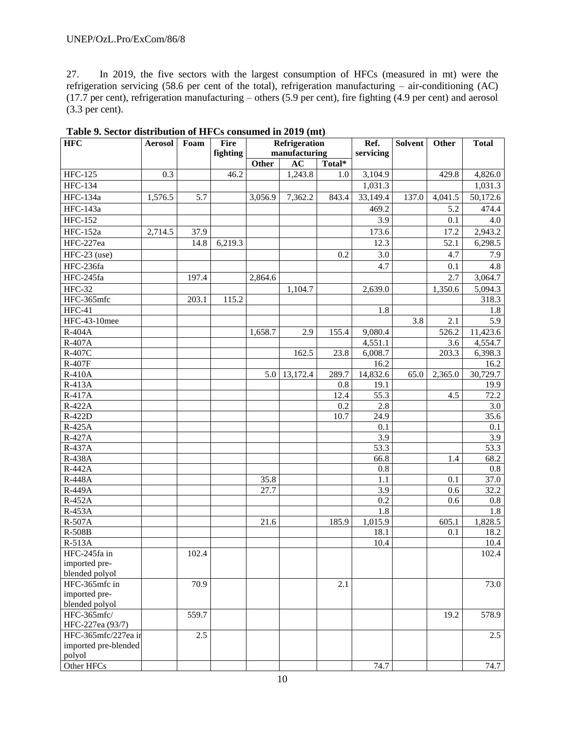27. In 2019, the five sectors with the largest consumption of HFCs (measured in mt) were the refrigeration servicing (58.6 per cent of the total), refrigeration manufacturing – air-conditioning (AC) (17.7 per cent), refrigeration manufacturing – others (5.9 per cent), fire fighting (4.9 per cent) and aerosol (3.3 per cent).

| <b>HFC</b>           | <b>Aerosol</b> | Foam  | Fire     | Refrigeration |               |         | Ref.      | <b>Solvent</b> | Other   | <b>Total</b>      |
|----------------------|----------------|-------|----------|---------------|---------------|---------|-----------|----------------|---------|-------------------|
|                      |                |       | fighting |               | manufacturing |         | servicing |                |         |                   |
|                      |                |       |          | Other         | $\mathbf{AC}$ | Total*  |           |                |         |                   |
| <b>HFC-125</b>       | 0.3            |       | 46.2     |               | 1,243.8       | 1.0     | 3,104.9   |                | 429.8   | 4,826.0           |
| <b>HFC-134</b>       |                |       |          |               |               |         | 1,031.3   |                |         | 1,031.3           |
| <b>HFC-134a</b>      | 1,576.5        | 5.7   |          | 3,056.9       | 7,362.2       | 843.4   | 33,149.4  | 137.0          | 4,041.5 | 50,172.6          |
| HFC-143a             |                |       |          |               |               |         | 469.2     |                | 5.2     | 474.4             |
| <b>HFC-152</b>       |                |       |          |               |               |         | 3.9       |                | 0.1     | 4.0               |
| <b>HFC-152a</b>      | 2,714.5        | 37.9  |          |               |               |         | 173.6     |                | 17.2    | 2,943.2           |
| HFC-227ea            |                | 14.8  | 6,219.3  |               |               |         | 12.3      |                | 52.1    | 6,298.5           |
| $HFC-23$ (use)       |                |       |          |               |               | 0.2     | 3.0       |                | 4.7     | 7.9               |
| HFC-236fa            |                |       |          |               |               |         | 4.7       |                | 0.1     | 4.8               |
| HFC-245fa            |                | 197.4 |          | 2,864.6       |               |         |           |                | 2.7     | 3,064.7           |
| <b>HFC-32</b>        |                |       |          |               | 1,104.7       |         | 2,639.0   |                | 1,350.6 | 5,094.3           |
| HFC-365mfc           |                | 203.1 | 115.2    |               |               |         |           |                |         | 318.3             |
| $HFC-41$             |                |       |          |               |               |         | 1.8       |                |         | 1.8               |
| HFC-43-10mee         |                |       |          |               |               |         |           | 3.8            | 2.1     | 5.9               |
| R-404A               |                |       |          | 1,658.7       | 2.9           | 155.4   | 9,080.4   |                | 526.2   | 11,423.6          |
| R-407A               |                |       |          |               |               |         | 4,551.1   |                | 3.6     | 4,554.7           |
| R-407C               |                |       |          |               | 162.5         | 23.8    | 6,008.7   |                | 203.3   | 6,398.3           |
| R-407F               |                |       |          |               |               |         | 16.2      |                |         | 16.2              |
| R-410A               |                |       |          | 5.0           | 13,172.4      | 289.7   | 14,832.6  | 65.0           | 2,365.0 | 30,729.7          |
| R-413A               |                |       |          |               |               | $0.8\,$ | 19.1      |                |         | 19.9              |
| R-417A               |                |       |          |               |               | 12.4    | 55.3      |                | 4.5     | 72.2              |
| R-422A               |                |       |          |               |               | 0.2     | 2.8       |                |         | 3.0               |
| R-422D               |                |       |          |               |               | 10.7    | 24.9      |                |         | 35.6              |
| R-425A               |                |       |          |               |               |         | 0.1       |                |         | 0.1               |
| R-427A               |                |       |          |               |               |         | 3.9       |                |         | 3.9               |
| R-437A               |                |       |          |               |               |         | 53.3      |                |         | $53.\overline{3}$ |
| R-438A               |                |       |          |               |               |         | 66.8      |                | 1.4     | 68.2              |
| R-442A               |                |       |          |               |               |         | $0.8\,$   |                |         | $0.8\,$           |
| <b>R-448A</b>        |                |       |          | 35.8          |               |         | $1.1\,$   |                | 0.1     | 37.0              |
| R-449A               |                |       |          | 27.7          |               |         | 3.9       |                | 0.6     | 32.2              |
| R-452A               |                |       |          |               |               |         | 0.2       |                | 0.6     | $0.8\,$           |
| R-453A               |                |       |          |               |               |         | 1.8       |                |         | 1.8               |
| R-507A               |                |       |          | 21.6          |               | 185.9   | 1,015.9   |                | 605.1   | 1,828.5           |
| <b>R-508B</b>        |                |       |          |               |               |         | 18.1      |                | 0.1     | 18.2              |
| R-513A               |                |       |          |               |               |         | 10.4      |                |         | 10.4              |
| HFC-245fa in         |                | 102.4 |          |               |               |         |           |                |         | 102.4             |
| imported pre-        |                |       |          |               |               |         |           |                |         |                   |
| blended polyol       |                |       |          |               |               |         |           |                |         |                   |
| HFC-365mfc in        |                | 70.9  |          |               |               | 2.1     |           |                |         | 73.0              |
| imported pre-        |                |       |          |               |               |         |           |                |         |                   |
| blended polyol       |                |       |          |               |               |         |           |                |         |                   |
| HFC-365mfc/          |                | 559.7 |          |               |               |         |           |                | 19.2    | 578.9             |
| HFC-227ea (93/7)     |                |       |          |               |               |         |           |                |         |                   |
| HFC-365mfc/227ea ir  |                | 2.5   |          |               |               |         |           |                |         | 2.5               |
| imported pre-blended |                |       |          |               |               |         |           |                |         |                   |
| polyol<br>Other HFCs |                |       |          |               |               |         |           |                |         |                   |
|                      |                |       |          |               |               |         | 74.7      |                |         | 74.7              |

**Table 9. Sector distribution of HFCs consumed in 2019 (mt)**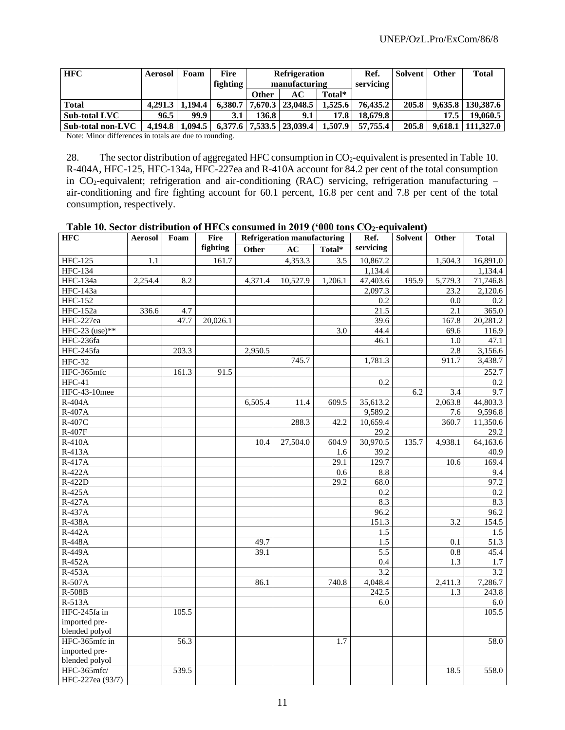| <b>HFC</b>        | Aerosol | Foam    | Fire     | <b>Refrigeration</b>                            |                    |         | Ref.      | Solvent | <b>Other</b> | <b>Total</b>          |
|-------------------|---------|---------|----------|-------------------------------------------------|--------------------|---------|-----------|---------|--------------|-----------------------|
|                   |         |         | fighting | manufacturing                                   |                    |         | servicing |         |              |                       |
|                   |         |         |          | AC<br>Total*<br><b>Other</b>                    |                    |         |           |         |              |                       |
| <b>Total</b>      | 4.291.3 | 1.194.4 | 6.380.7  |                                                 | 7.670.3   23.048.5 | 1,525.6 | 76.435.2  | 205.8   |              | $9.635.8$   130.387.6 |
| Sub-total LVC     | 96.5    | 99.9    | 3.1      | 136.8                                           | 9.1                | 17.8    | 18,679.8  |         | 17.5         | 19,060.5              |
| Sub-total non-LVC | 4.194.8 | 1.094.5 |          | $6.377.6$   $7.533.5$   $23.039.4$  <br>1.507.9 |                    |         | 57.755.4  | 205.8   | 9.618.1      | 111.327.0             |

Note: Minor differences in totals are due to rounding.

28. The sector distribution of aggregated HFC consumption in  $CO_2$ -equivalent is presented in Table 10. R-404A, HFC-125, HFC-134a, HFC-227ea and R-410A account for 84.2 per cent of the total consumption in CO<sub>2</sub>-equivalent; refrigeration and air-conditioning (RAC) servicing, refrigeration manufacturing – air-conditioning and fire fighting account for 60.1 percent, 16.8 per cent and 7.8 per cent of the total consumption, respectively.

| Table 10. Sector distribution of HFCs consumed in 2019 ('000 tons CO <sub>2</sub> -equivalent) |  |  |
|------------------------------------------------------------------------------------------------|--|--|
|------------------------------------------------------------------------------------------------|--|--|

| <b>HFC</b>       | Fire<br><b>Refrigeration manufacturing</b><br><b>Aerosol</b><br>Foam |       | Ref.     | Solvent | Other    | <b>Total</b> |                   |       |         |          |
|------------------|----------------------------------------------------------------------|-------|----------|---------|----------|--------------|-------------------|-------|---------|----------|
|                  |                                                                      |       | fighting | Other   | AC       | Total*       | servicing         |       |         |          |
| <b>HFC-125</b>   | 1.1                                                                  |       | 161.7    |         | 4,353.3  | 3.5          | 10,867.2          |       | 1,504.3 | 16,891.0 |
| <b>HFC-134</b>   |                                                                      |       |          |         |          |              | 1,134.4           |       |         | 1,134.4  |
| <b>HFC-134a</b>  | 2,254.4                                                              | 8.2   |          | 4,371.4 | 10,527.9 | 1,206.1      | 47,403.6          | 195.9 | 5,779.3 | 71,746.8 |
| <b>HFC-143a</b>  |                                                                      |       |          |         |          |              | 2,097.3           |       | 23.2    | 2,120.6  |
| <b>HFC-152</b>   |                                                                      |       |          |         |          |              | 0.2               |       | 0.0     | 0.2      |
| <b>HFC-152a</b>  | 336.6                                                                | 4.7   |          |         |          |              | $\overline{21.5}$ |       | 2.1     | 365.0    |
| HFC-227ea        |                                                                      | 47.7  | 20,026.1 |         |          |              | 39.6              |       | 167.8   | 20,281.2 |
| HFC-23 (use)**   |                                                                      |       |          |         |          | 3.0          | 44.4              |       | 69.6    | 116.9    |
| HFC-236fa        |                                                                      |       |          |         |          |              | 46.1              |       | 1.0     | 47.1     |
| HFC-245fa        |                                                                      | 203.3 |          | 2,950.5 |          |              |                   |       | 2.8     | 3,156.6  |
| <b>HFC-32</b>    |                                                                      |       |          |         | 745.7    |              | 1,781.3           |       | 911.7   | 3,438.7  |
| HFC-365mfc       |                                                                      | 161.3 | 91.5     |         |          |              |                   |       |         | 252.7    |
| $HFC-41$         |                                                                      |       |          |         |          |              | 0.2               |       |         | 0.2      |
| HFC-43-10mee     |                                                                      |       |          |         |          |              |                   | 6.2   | 3.4     | 9.7      |
| R-404A           |                                                                      |       |          | 6,505.4 | 11.4     | 609.5        | 35,613.2          |       | 2,063.8 | 44,803.3 |
| R-407A           |                                                                      |       |          |         |          |              | 9,589.2           |       | 7.6     | 9,596.8  |
| R-407C           |                                                                      |       |          |         | 288.3    | 42.2         | 10,659.4          |       | 360.7   | 11,350.6 |
| R-407F           |                                                                      |       |          |         |          |              | 29.2              |       |         | 29.2     |
| R-410A           |                                                                      |       |          | 10.4    | 27.504.0 | 604.9        | 30,970.5          | 135.7 | 4,938.1 | 64,163.6 |
| R-413A           |                                                                      |       |          |         |          | 1.6          | 39.2              |       |         | 40.9     |
| R-417A           |                                                                      |       |          |         |          | 29.1         | 129.7             |       | 10.6    | 169.4    |
| $R-422A$         |                                                                      |       |          |         |          | 0.6          | 8.8               |       |         | 9.4      |
| R-422D           |                                                                      |       |          |         |          | 29.2         | 68.0              |       |         | 97.2     |
| R-425A           |                                                                      |       |          |         |          |              | 0.2               |       |         | 0.2      |
| $R-427A$         |                                                                      |       |          |         |          |              | 8.3               |       |         | 8.3      |
| R-437A           |                                                                      |       |          |         |          |              | 96.2              |       |         | 96.2     |
| R-438A           |                                                                      |       |          |         |          |              | 151.3             |       | 3.2     | 154.5    |
| $R-442A$         |                                                                      |       |          |         |          |              | 1.5               |       |         | 1.5      |
| <b>R-448A</b>    |                                                                      |       |          | 49.7    |          |              | 1.5               |       | 0.1     | 51.3     |
| R-449A           |                                                                      |       |          | 39.1    |          |              | 5.5               |       | 0.8     | 45.4     |
| R-452A           |                                                                      |       |          |         |          |              | 0.4               |       | 1.3     | 1.7      |
| R-453A           |                                                                      |       |          |         |          |              | 3.2               |       |         | 3.2      |
| R-507A           |                                                                      |       |          | 86.1    |          | 740.8        | 4,048.4           |       | 2,411.3 | 7,286.7  |
| R-508B           |                                                                      |       |          |         |          |              | 242.5             |       | 1.3     | 243.8    |
| R-513A           |                                                                      |       |          |         |          |              | 6.0               |       |         | 6.0      |
| HFC-245fa in     |                                                                      | 105.5 |          |         |          |              |                   |       |         | 105.5    |
| imported pre-    |                                                                      |       |          |         |          |              |                   |       |         |          |
| blended polyol   |                                                                      |       |          |         |          |              |                   |       |         |          |
| HFC-365mfc in    |                                                                      | 56.3  |          |         |          | 1.7          |                   |       |         | 58.0     |
| imported pre-    |                                                                      |       |          |         |          |              |                   |       |         |          |
| blended polyol   |                                                                      |       |          |         |          |              |                   |       |         |          |
| HFC-365mfc/      |                                                                      | 539.5 |          |         |          |              |                   |       | 18.5    | 558.0    |
| HFC-227ea (93/7) |                                                                      |       |          |         |          |              |                   |       |         |          |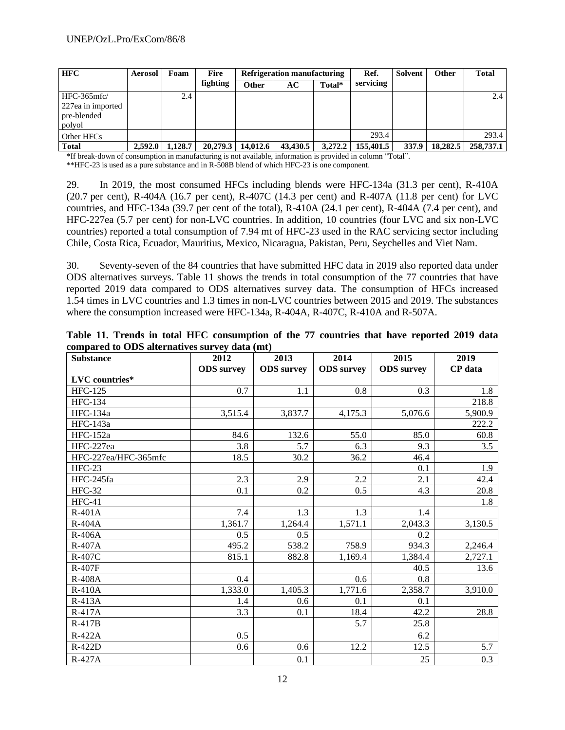| <b>HFC</b>        | <b>Aerosol</b> | Foam    | <b>Fire</b> | Refrigeration manufacturing |          |         | Ref.      | <b>Solvent</b> | Other    | <b>Total</b> |
|-------------------|----------------|---------|-------------|-----------------------------|----------|---------|-----------|----------------|----------|--------------|
|                   |                |         | fighting    | <b>Other</b>                | AC       | Total*  | servicing |                |          |              |
| $HFC-365mfc/$     |                | 2.4     |             |                             |          |         |           |                |          | 2.4          |
| 227ea in imported |                |         |             |                             |          |         |           |                |          |              |
| pre-blended       |                |         |             |                             |          |         |           |                |          |              |
| polyol            |                |         |             |                             |          |         |           |                |          |              |
| Other HFCs        |                |         |             |                             |          |         | 293.4     |                |          | 293.4        |
| <b>Total</b>      | 2.592.0        | 1.128.7 | 20,279.3    | 14,012.6                    | 43,430.5 | 3,272.2 | 155,401.5 | 337.9          | 18,282.5 | 258,737.1    |

\*If break-down of consumption in manufacturing is not available, information is provided in column "Total".

\*\*HFC-23 is used as a pure substance and in R-508B blend of which HFC-23 is one component.

29. In 2019, the most consumed HFCs including blends were HFC-134a (31.3 per cent), R-410A (20.7 per cent), R-404A (16.7 per cent), R-407C (14.3 per cent) and R-407A (11.8 per cent) for LVC countries, and HFC-134a (39.7 per cent of the total), R-410A (24.1 per cent), R-404A (7.4 per cent), and HFC-227ea (5.7 per cent) for non-LVC countries. In addition, 10 countries (four LVC and six non-LVC countries) reported a total consumption of 7.94 mt of HFC-23 used in the RAC servicing sector including Chile, Costa Rica, Ecuador, Mauritius, Mexico, Nicaragua, Pakistan, Peru, Seychelles and Viet Nam.

30. Seventy-seven of the 84 countries that have submitted HFC data in 2019 also reported data under ODS alternatives surveys. Table 11 shows the trends in total consumption of the 77 countries that have reported 2019 data compared to ODS alternatives survey data. The consumption of HFCs increased 1.54 times in LVC countries and 1.3 times in non-LVC countries between 2015 and 2019. The substances where the consumption increased were HFC-134a, R-404A, R-407C, R-410A and R-507A.

| <b>Substance</b>     | 2012              | 2013              | 2014              | 2015              | 2019    |
|----------------------|-------------------|-------------------|-------------------|-------------------|---------|
|                      | <b>ODS</b> survey | <b>ODS</b> survey | <b>ODS</b> survey | <b>ODS</b> survey | CP data |
| LVC countries*       |                   |                   |                   |                   |         |
| <b>HFC-125</b>       | 0.7               | 1.1               | 0.8               | 0.3               | 1.8     |
| <b>HFC-134</b>       |                   |                   |                   |                   | 218.8   |
| HFC-134a             | 3,515.4           | 3,837.7           | 4,175.3           | 5,076.6           | 5,900.9 |
| $HFC-143a$           |                   |                   |                   |                   | 222.2   |
| HFC-152a             | 84.6              | 132.6             | 55.0              | 85.0              | 60.8    |
| HFC-227ea            | 3.8               | 5.7               | 6.3               | 9.3               | 3.5     |
| HFC-227ea/HFC-365mfc | 18.5              | 30.2              | 36.2              | 46.4              |         |
| $HFC-23$             |                   |                   |                   | 0.1               | 1.9     |
| HFC-245fa            | 2.3               | 2.9               | 2.2               | 2.1               | 42.4    |
| <b>HFC-32</b>        | 0.1               | 0.2               | 0.5               | 4.3               | 20.8    |
| $HFC-41$             |                   |                   |                   |                   | 1.8     |
| $R-401A$             | 7.4               | 1.3               | 1.3               | 1.4               |         |
| $R-404A$             | 1,361.7           | 1,264.4           | 1,571.1           | 2,043.3           | 3,130.5 |
| R-406A               | 0.5               | 0.5               |                   | 0.2               |         |
| $R-407A$             | 495.2             | 538.2             | 758.9             | 934.3             | 2,246.4 |
| R-407C               | 815.1             | 882.8             | 1,169.4           | 1,384.4           | 2,727.1 |
| <b>R-407F</b>        |                   |                   |                   | 40.5              | 13.6    |
| <b>R-408A</b>        | 0.4               |                   | 0.6               | 0.8               |         |
| <b>R-410A</b>        | 1,333.0           | 1,405.3           | 1,771.6           | 2,358.7           | 3,910.0 |
| $R-413A$             | 1.4               | 0.6               | 0.1               | 0.1               |         |
| $R-417A$             | 3.3               | 0.1               | 18.4              | 42.2              | 28.8    |
| R-417B               |                   |                   | 5.7               | 25.8              |         |
| R-422A               | 0.5               |                   |                   | 6.2               |         |
| R-422D               | 0.6               | 0.6               | 12.2              | 12.5              | 5.7     |
| R-427A               |                   | 0.1               |                   | 25                | 0.3     |

**Table 11. Trends in total HFC consumption of the 77 countries that have reported 2019 data compared to ODS alternatives survey data (mt)**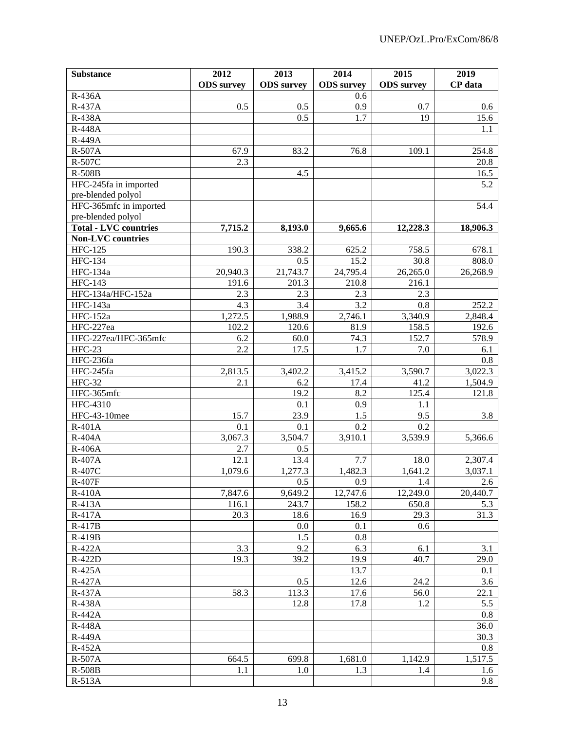| <b>Substance</b>             | 2012                 | 2013              | 2014                   | 2015              | 2019           |
|------------------------------|----------------------|-------------------|------------------------|-------------------|----------------|
|                              | <b>ODS</b> survey    | <b>ODS</b> survey | <b>ODS</b> survey      | <b>ODS</b> survey | <b>CP</b> data |
| R-436A                       |                      |                   | 0.6                    |                   |                |
| R-437A                       | 0.5                  | 0.5               | 0.9                    | 0.7               | 0.6            |
| R-438A                       |                      | 0.5               | 1.7                    | 19                | 15.6           |
| <b>R-448A</b>                |                      |                   |                        |                   | 1.1            |
| R-449A                       |                      |                   |                        |                   |                |
| R-507A                       | 67.9                 | 83.2              | 76.8                   | 109.1             | 254.8          |
| R-507C                       | 2.3                  |                   |                        |                   | 20.8           |
| R-508B                       |                      | 4.5               |                        |                   | 16.5           |
| HFC-245fa in imported        |                      |                   |                        |                   | 5.2            |
| pre-blended polyol           |                      |                   |                        |                   |                |
| HFC-365mfc in imported       |                      |                   |                        |                   | 54.4           |
| pre-blended polyol           |                      |                   |                        |                   |                |
| <b>Total - LVC countries</b> | 7,715.2              | 8,193.0           | 9,665.6                | 12,228.3          | 18,906.3       |
| <b>Non-LVC</b> countries     |                      |                   |                        |                   |                |
|                              |                      |                   |                        |                   |                |
| <b>HFC-125</b>               | 190.3                | 338.2             | 625.2                  | 758.5             | 678.1          |
| <b>HFC-134</b>               |                      | 0.5               | 15.2                   | 30.8              | 808.0          |
| HFC-134a                     | 20,940.3             | 21,743.7          | $\overline{2}$ 4,795.4 | 26,265.0          | 26,268.9       |
| <b>HFC-143</b>               | 191.6                | 201.3             | 210.8                  | 216.1             |                |
| HFC-134a/HFC-152a            | 2.3                  | 2.3               | 2.3                    | 2.3               |                |
| HFC-143a                     | 4.3                  | 3.4               | 3.2                    | 0.8               | 252.2          |
| <b>HFC-152a</b>              | $\overline{1,}272.5$ | 1,988.9           | 2,746.1                | 3,340.9           | 2,848.4        |
| HFC-227ea                    | 102.2                | 120.6             | 81.9                   | 158.5             | 192.6          |
| HFC-227ea/HFC-365mfc         | 6.2                  | 60.0              | 74.3                   | 152.7             | 578.9          |
| $HFC-23$                     | 2.2                  | 17.5              | 1.7                    | 7.0               | 6.1            |
| HFC-236fa                    |                      |                   |                        |                   | 0.8            |
| HFC-245fa                    | 2,813.5              | 3,402.2           | 3,415.2                | 3,590.7           | 3,022.3        |
| <b>HFC-32</b>                | 2.1                  | 6.2               | 17.4                   | 41.2              | 1,504.9        |
| $HFC-365mfc$                 |                      | 19.2              | 8.2                    | 125.4             | 121.8          |
| HFC-4310                     |                      | 0.1               | 0.9                    | 1.1               |                |
| HFC-43-10mee                 | 15.7                 | 23.9              | $\overline{1.5}$       | 9.5               | 3.8            |
| $R-401A$                     | 0.1                  | 0.1               | 0.2                    | 0.2               |                |
| $R-404A$                     | 3,067.3              | 3,504.7           | 3,910.1                | 3,539.9           | 5,366.6        |
| $R-406\overline{A}$          | 2.7                  | 0.5               |                        |                   |                |
| $R-407A$                     | 12.1                 | 13.4              | 7.7                    | 18.0              | 2,307.4        |
| R-407C                       | 1,079.6              | 1,277.3           | 1,482.3                | 1,641.2           | 3,037.1        |
| $R-407F$                     |                      | 0.5               | 0.9                    | 1.4               | 2.6            |
| $R-410A$                     | 7,847.6              | 9,649.2           | 12,747.6               | 12,249.0          | 20,440.7       |
| R-413A                       | 116.1                | 243.7             | 158.2                  | 650.8             | 5.3            |
| R-417A                       | 20.3                 | 18.6              | 16.9                   | 29.3              | 31.3           |
| R-417B                       |                      | $0.0\,$           | 0.1                    | 0.6               |                |
| R-419B                       |                      | 1.5               | 0.8                    |                   |                |
| R-422A                       | 3.3                  | 9.2               | 6.3                    | 6.1               | 3.1            |
| R-422D                       | 19.3                 | 39.2              | 19.9                   | 40.7              | 29.0           |
| R-425A                       |                      |                   | 13.7                   |                   | 0.1            |
| R-427A                       |                      | 0.5               | 12.6                   | 24.2              | 3.6            |
| R-437A                       | 58.3                 | 113.3             | 17.6                   | 56.0              | 22.1           |
| R-438A                       |                      | 12.8              | 17.8                   | 1.2               | 5.5            |
| R-442A                       |                      |                   |                        |                   | 0.8            |
| <b>R-448A</b>                |                      |                   |                        |                   | 36.0           |
|                              |                      |                   |                        |                   | 30.3           |
| R-449A                       |                      |                   |                        |                   | 0.8            |
| R-452A                       |                      |                   |                        |                   |                |
| <b>R-507A</b>                | 664.5                | 699.8             | 1,681.0                | 1,142.9           | 1,517.5        |
| $R-508B$                     | 1.1                  | 1.0               | 1.3                    | 1.4               | 1.6            |
| R-513A                       |                      |                   |                        |                   | 9.8            |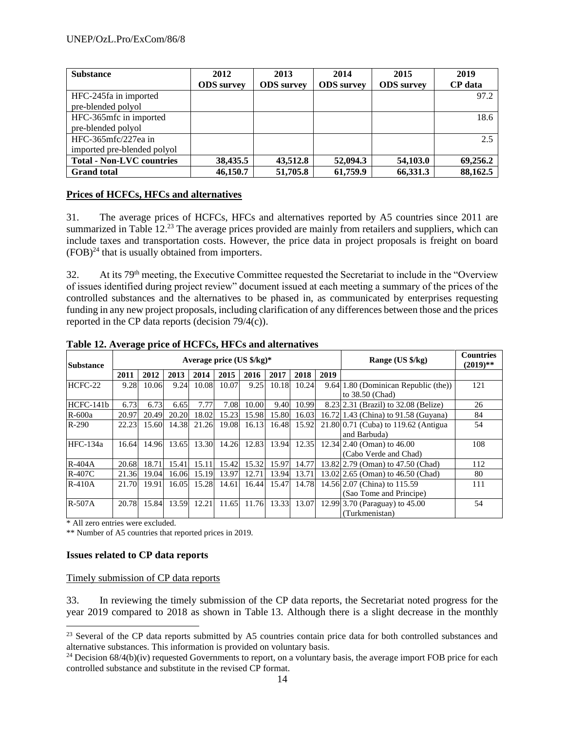| <b>Substance</b>                 | 2012              | 2013              | 2014              | 2015              | 2019           |
|----------------------------------|-------------------|-------------------|-------------------|-------------------|----------------|
|                                  | <b>ODS</b> survey | <b>ODS</b> survey | <b>ODS</b> survey | <b>ODS</b> survey | <b>CP</b> data |
| HFC-245fa in imported            |                   |                   |                   |                   | 97.2           |
| pre-blended polyol               |                   |                   |                   |                   |                |
| HFC-365mfc in imported           |                   |                   |                   |                   | 18.6           |
| pre-blended polyol               |                   |                   |                   |                   |                |
| $HFC-365mfc/227ea$ in            |                   |                   |                   |                   | 2.5            |
| imported pre-blended polyol      |                   |                   |                   |                   |                |
| <b>Total - Non-LVC countries</b> | 38,435.5          | 43.512.8          | 52,094.3          | 54,103.0          | 69,256.2       |
| <b>Grand</b> total               | 46,150.7          | 51,705.8          | 61,759.9          | 66,331.3          | 88,162.5       |

#### **Prices of HCFCs, HFCs and alternatives**

31. The average prices of HCFCs, HFCs and alternatives reported by A5 countries since 2011 are summarized in Table 12.<sup>23</sup> The average prices provided are mainly from retailers and suppliers, which can include taxes and transportation costs. However, the price data in project proposals is freight on board  $(FOB)^{24}$  that is usually obtained from importers.

32. At its 79th meeting, the Executive Committee requested the Secretariat to include in the "Overview of issues identified during project review" document issued at each meeting a summary of the prices of the controlled substances and the alternatives to be phased in, as communicated by enterprises requesting funding in any new project proposals, including clarification of any differences between those and the prices reported in the CP data reports (decision 79/4(c)).

| <b>Substance</b> |                                                                      |       |       |                                | Average price $(US \frac{6}{5}kg)^*$ |       |       | Range (US \$/kg) | <b>Countries</b><br>$(2019)**$ |                                        |     |
|------------------|----------------------------------------------------------------------|-------|-------|--------------------------------|--------------------------------------|-------|-------|------------------|--------------------------------|----------------------------------------|-----|
|                  | 2011                                                                 | 2012  | 2013  | 2014                           | 2015                                 | 2016  | 2017  | 2018             | 2019                           |                                        |     |
| $HCFC-22$        | 9.28                                                                 | 10.06 | 9.24  | 10.08                          | 10.07                                | 9.25  | 10.18 | 10.24            |                                | 9.64 1.80 (Dominican Republic (the))   | 121 |
|                  |                                                                      |       |       |                                |                                      |       |       |                  |                                | to 38.50 (Chad)                        |     |
| HCFC-141b        | 6.73                                                                 | 6.73  | 6.65  | 7.77                           | 7.08                                 | 10.00 | 9.40  | 10.99            |                                | 8.23 2.31 (Brazil) to 32.08 (Belize)   | 26  |
| R-600a           | 20.97                                                                | 20.49 | 20.20 | 18.02                          | 15.23                                | 15.98 | 15.80 | 16.03            |                                | 16.72 1.43 (China) to 91.58 (Guyana)   | 84  |
| $R-290$          | 22.23                                                                | 15.60 | 14.38 | 21.26                          | 19.08                                | 16.13 | 16.48 | 15.92            |                                | $21.80 0.71$ (Cuba) to 119.62 (Antigua | 54  |
|                  |                                                                      |       |       |                                |                                      |       |       |                  |                                | and Barbuda)                           |     |
| $HEC-134a$       | 16.64                                                                | 14.96 | 13.65 | 13.30                          | 14.26                                | 12.83 | 13.94 | 12.35            |                                | 12.34 2.40 (Oman) to 46.00             | 108 |
|                  |                                                                      |       |       |                                |                                      |       |       |                  |                                | (Cabo Verde and Chad)                  |     |
| $R-404A$         | 20.68                                                                | 18.71 | 15.41 | 15.11                          | 15.42                                | 15.32 | 15.97 | 14.77            |                                | 13.82 2.79 (Oman) to 47.50 (Chad)      | 112 |
| $R-407C$         | 21.36                                                                | 19.04 | 16.06 | 15.19                          | 13.97                                | 12.71 | 13.94 | 13.71            |                                | 13.02 2.65 (Oman) to 46.50 (Chad)      | 80  |
| $R-410A$         | 21.70                                                                | 19.91 | 16.05 | 15.28                          | 14.61                                | 16.44 | 15.47 | 14.78            |                                | 14.56 2.07 (China) to 115.59           | 111 |
|                  |                                                                      |       |       |                                |                                      |       |       |                  |                                | (Sao Tome and Principe)                |     |
| $R-507A$         | 12.21<br>11.76<br>13.33<br>20.78<br>15.84<br>13.59<br>13.07<br>11.65 |       |       | 12.99 3.70 (Paraguay) to 45.00 | 54                                   |       |       |                  |                                |                                        |     |
|                  |                                                                      |       |       | (Turkmenistan)                 |                                      |       |       |                  |                                |                                        |     |

**Table 12. Average price of HCFCs, HFCs and alternatives** 

\* All zero entries were excluded.

\*\* Number of A5 countries that reported prices in 2019.

#### **Issues related to CP data reports**

#### Timely submission of CP data reports

33. In reviewing the timely submission of the CP data reports, the Secretariat noted progress for the year 2019 compared to 2018 as shown in Table 13. Although there is a slight decrease in the monthly

<sup>&</sup>lt;sup>23</sup> Several of the CP data reports submitted by A5 countries contain price data for both controlled substances and alternative substances. This information is provided on voluntary basis.

 $24$  Decision 68/4(b)(iv) requested Governments to report, on a voluntary basis, the average import FOB price for each controlled substance and substitute in the revised CP format.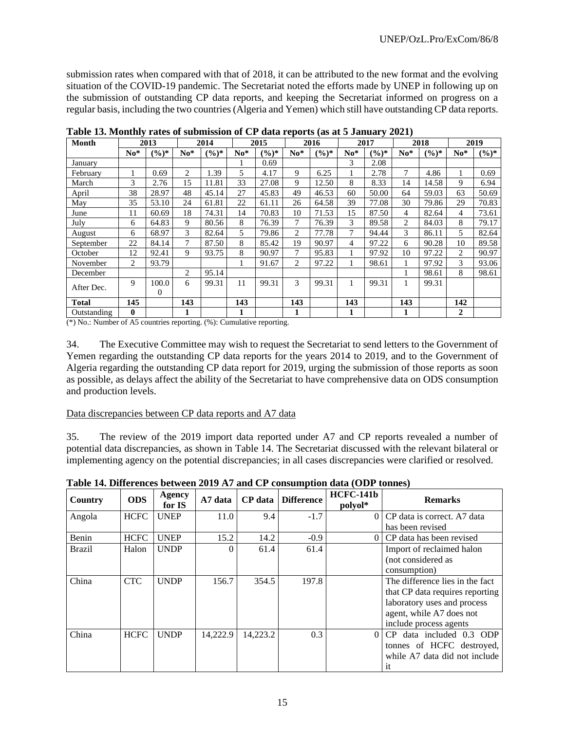submission rates when compared with that of 2018, it can be attributed to the new format and the evolving situation of the COVID-19 pandemic. The Secretariat noted the efforts made by UNEP in following up on the submission of outstanding CP data reports, and keeping the Secretariat informed on progress on a regular basis, including the two countries (Algeria and Yemen) which still have outstanding CP data reports.

| <b>Month</b> |          | 2013              |       | 2014              |       | 2015              |       | 2016              |       | 2017     |       | 2018     |                | 2019     |
|--------------|----------|-------------------|-------|-------------------|-------|-------------------|-------|-------------------|-------|----------|-------|----------|----------------|----------|
|              | $No*$    | $(\frac{6}{6})^*$ | $No*$ | $(\frac{6}{6})^*$ | $No*$ | $(\frac{6}{6})^*$ | $No*$ | $(\frac{6}{6})^*$ | $No*$ | $(\%)^*$ | $No*$ | $(\%)^*$ | $No*$          | $(9/6)*$ |
| Januarv      |          |                   |       |                   |       | 0.69              |       |                   | 3     | 2.08     |       |          |                |          |
| February     |          | 0.69              | 2     | .39               | 5     | 4.17              | 9     | 6.25              |       | 2.78     | 7     | 4.86     |                | 0.69     |
| March        | 3        | 2.76              | 15    | 11.81             | 33    | 27.08             | 9     | 12.50             | 8     | 8.33     | 14    | 14.58    | 9              | 6.94     |
| April        | 38       | 28.97             | 48    | 45.14             | 27    | 45.83             | 49    | 46.53             | 60    | 50.00    | 64    | 59.03    | 63             | 50.69    |
| May          | 35       | 53.10             | 24    | 61.81             | 22    | 61.11             | 26    | 64.58             | 39    | 77.08    | 30    | 79.86    | 29             | 70.83    |
| June         | 11       | 60.69             | 18    | 74.31             | 14    | 70.83             | 10    | 71.53             | 15    | 87.50    | 4     | 82.64    | 4              | 73.61    |
| July         | 6        | 64.83             | 9     | 80.56             | 8     | 76.39             | 7     | 76.39             | 3     | 89.58    | 2     | 84.03    | 8              | 79.17    |
| August       | 6        | 68.97             | 3     | 82.64             | 5     | 79.86             | 2     | 77.78             | 7     | 94.44    | 3     | 86.11    | 5              | 82.64    |
| September    | 22       | 84.14             | 7     | 87.50             | 8     | 85.42             | 19    | 90.97             | 4     | 97.22    | 6     | 90.28    | 10             | 89.58    |
| October      | 12       | 92.41             | 9     | 93.75             | 8     | 90.97             | 7     | 95.83             |       | 97.92    | 10    | 97.22    | 2              | 90.97    |
| November     | 2        | 93.79             |       |                   |       | 91.67             | 2     | 97.22             |       | 98.61    | 1     | 97.92    | 3              | 93.06    |
| December     |          |                   | 2     | 95.14             |       |                   |       |                   |       |          | 1     | 98.61    | 8              | 98.61    |
| After Dec.   | 9        | 100.0             | 6     | 99.31             | 11    | 99.31             | 3     | 99.31             |       | 99.31    | 1     | 99.31    |                |          |
|              |          | $\Omega$          |       |                   |       |                   |       |                   |       |          |       |          |                |          |
| <b>Total</b> | 145      |                   | 143   |                   | 143   |                   | 143   |                   | 143   |          | 143   |          | 142            |          |
| Outstanding  | $\bf{0}$ |                   | 1     |                   |       |                   | 1     |                   |       |          |       |          | $\overline{2}$ |          |

**Table 13. Monthly rates of submission of CP data reports (as at 5 January 2021)**

(\*) No.: Number of A5 countries reporting. (%): Cumulative reporting.

34. The Executive Committee may wish to request the Secretariat to send letters to the Government of Yemen regarding the outstanding CP data reports for the years 2014 to 2019, and to the Government of Algeria regarding the outstanding CP data report for 2019, urging the submission of those reports as soon as possible, as delays affect the ability of the Secretariat to have comprehensive data on ODS consumption and production levels.

#### Data discrepancies between CP data reports and A7 data

35. The review of the 2019 import data reported under A7 and CP reports revealed a number of potential data discrepancies, as shown in Table 14. The Secretariat discussed with the relevant bilateral or implementing agency on the potential discrepancies; in all cases discrepancies were clarified or resolved.

| Country | <b>ODS</b>  | Agency<br>for IS | A7 data  | CP data  | <b>Difference</b> | <b>HCFC-141b</b><br>polyol* | <b>Remarks</b>                  |
|---------|-------------|------------------|----------|----------|-------------------|-----------------------------|---------------------------------|
| Angola  | <b>HCFC</b> | <b>UNEP</b>      | 11.0     | 9.4      | $-1.7$            | 0                           | CP data is correct. A7 data     |
|         |             |                  |          |          |                   |                             | has been revised                |
| Benin   | <b>HCFC</b> | <b>UNEP</b>      | 15.2     | 14.2     | $-0.9$            | 0                           | CP data has been revised        |
| Brazil  | Halon       | <b>UNDP</b>      | $\Omega$ | 61.4     | 61.4              |                             | Import of reclaimed halon       |
|         |             |                  |          |          |                   |                             | (not considered as              |
|         |             |                  |          |          |                   |                             | consumption)                    |
| China   | CTC.        | <b>UNDP</b>      | 156.7    | 354.5    | 197.8             |                             | The difference lies in the fact |
|         |             |                  |          |          |                   |                             | that CP data requires reporting |
|         |             |                  |          |          |                   |                             | laboratory uses and process     |
|         |             |                  |          |          |                   |                             | agent, while A7 does not        |
|         |             |                  |          |          |                   |                             | include process agents          |
| China   | <b>HCFC</b> | <b>UNDP</b>      | 14,222.9 | 14,223.2 | 0.3               | 0                           | CP data included 0.3 ODP        |
|         |             |                  |          |          |                   |                             | tonnes of HCFC destroyed,       |
|         |             |                  |          |          |                   |                             | while A7 data did not include   |
|         |             |                  |          |          |                   |                             | <sup>it</sup>                   |

**Table 14. Differences between 2019 A7 and CP consumption data (ODP tonnes)**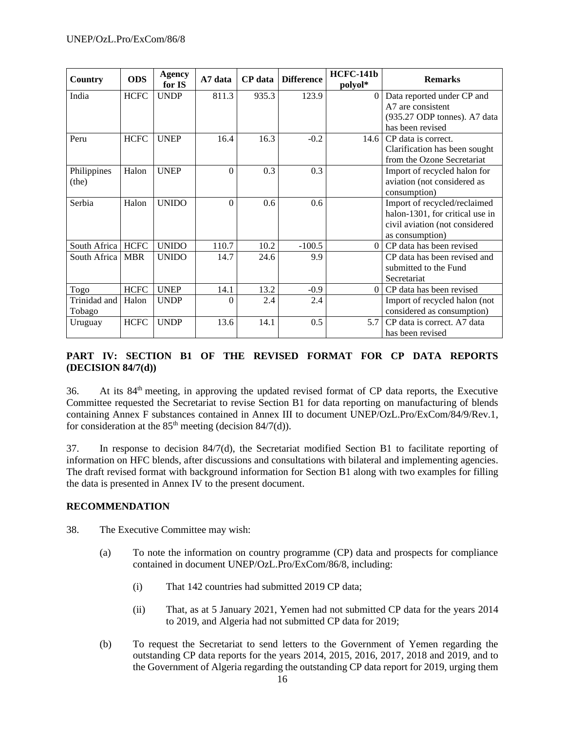| Country             | <b>ODS</b>  | <b>Agency</b><br>for IS | A7 data  | <b>CP</b> data | <b>Difference</b> | <b>HCFC-141b</b><br>polyol* | <b>Remarks</b>                  |
|---------------------|-------------|-------------------------|----------|----------------|-------------------|-----------------------------|---------------------------------|
| India               | <b>HCFC</b> | <b>UNDP</b>             | 811.3    | 935.3          | 123.9             | $\Omega$                    | Data reported under CP and      |
|                     |             |                         |          |                |                   |                             | A7 are consistent               |
|                     |             |                         |          |                |                   |                             | (935.27 ODP tonnes). A7 data    |
|                     |             |                         |          |                |                   |                             | has been revised                |
| Peru                | <b>HCFC</b> | <b>UNEP</b>             | 16.4     | 16.3           | $-0.2$            | 14.6                        | CP data is correct.             |
|                     |             |                         |          |                |                   |                             | Clarification has been sought   |
|                     |             |                         |          |                |                   |                             | from the Ozone Secretariat      |
| Philippines         | Halon       | <b>UNEP</b>             | $\theta$ | 0.3            | 0.3               |                             | Import of recycled halon for    |
| (the)               |             |                         |          |                |                   |                             | aviation (not considered as     |
|                     |             |                         |          |                |                   |                             | consumption)                    |
| Serbia              | Halon       | <b>UNIDO</b>            | $\theta$ | 0.6            | 0.6               |                             | Import of recycled/reclaimed    |
|                     |             |                         |          |                |                   |                             | halon-1301, for critical use in |
|                     |             |                         |          |                |                   |                             | civil aviation (not considered  |
|                     |             |                         |          |                |                   |                             | as consumption)                 |
| South Africa   HCFC |             | <b>UNIDO</b>            | 110.7    | 10.2           | $-100.5$          | $\Omega$                    | CP data has been revised        |
| South Africa        | <b>MBR</b>  | <b>UNIDO</b>            | 14.7     | 24.6           | 9.9               |                             | CP data has been revised and    |
|                     |             |                         |          |                |                   |                             | submitted to the Fund           |
|                     |             |                         |          |                |                   |                             | Secretariat                     |
| Togo                | <b>HCFC</b> | <b>UNEP</b>             | 14.1     | 13.2           | $-0.9$            | $\Omega$                    | CP data has been revised        |
| Trinidad and        | Halon       | <b>UNDP</b>             | $\theta$ | 2.4            | 2.4               |                             | Import of recycled halon (not   |
| Tobago              |             |                         |          |                |                   |                             | considered as consumption)      |
| Uruguay             | <b>HCFC</b> | <b>UNDP</b>             | 13.6     | 14.1           | 0.5               | 5.7                         | CP data is correct. A7 data     |
|                     |             |                         |          |                |                   |                             | has been revised                |

# **PART IV: SECTION B1 OF THE REVISED FORMAT FOR CP DATA REPORTS (DECISION 84/7(d))**

36. At its 84th meeting, in approving the updated revised format of CP data reports, the Executive Committee requested the Secretariat to revise Section B1 for data reporting on manufacturing of blends containing Annex F substances contained in Annex III to document UNEP/OzL.Pro/ExCom/84/9/Rev.1, for consideration at the  $85<sup>th</sup>$  meeting (decision  $84/7(d)$ ).

37. In response to decision 84/7(d), the Secretariat modified Section B1 to facilitate reporting of information on HFC blends, after discussions and consultations with bilateral and implementing agencies. The draft revised format with background information for Section B1 along with two examples for filling the data is presented in Annex IV to the present document.

#### **RECOMMENDATION**

- 38. The Executive Committee may wish:
	- (a) To note the information on country programme (CP) data and prospects for compliance contained in document UNEP/OzL.Pro/ExCom/86/8, including:
		- (i) That 142 countries had submitted 2019 CP data;
		- (ii) That, as at 5 January 2021, Yemen had not submitted CP data for the years 2014 to 2019, and Algeria had not submitted CP data for 2019;
	- (b) To request the Secretariat to send letters to the Government of Yemen regarding the outstanding CP data reports for the years 2014, 2015, 2016, 2017, 2018 and 2019, and to the Government of Algeria regarding the outstanding CP data report for 2019, urging them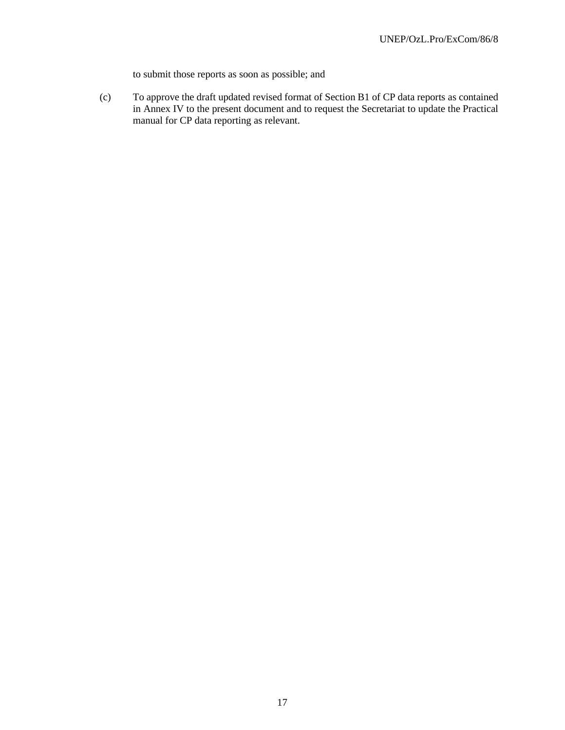to submit those reports as soon as possible; and

(c) To approve the draft updated revised format of Section B1 of CP data reports as contained in Annex IV to the present document and to request the Secretariat to update the Practical manual for CP data reporting as relevant.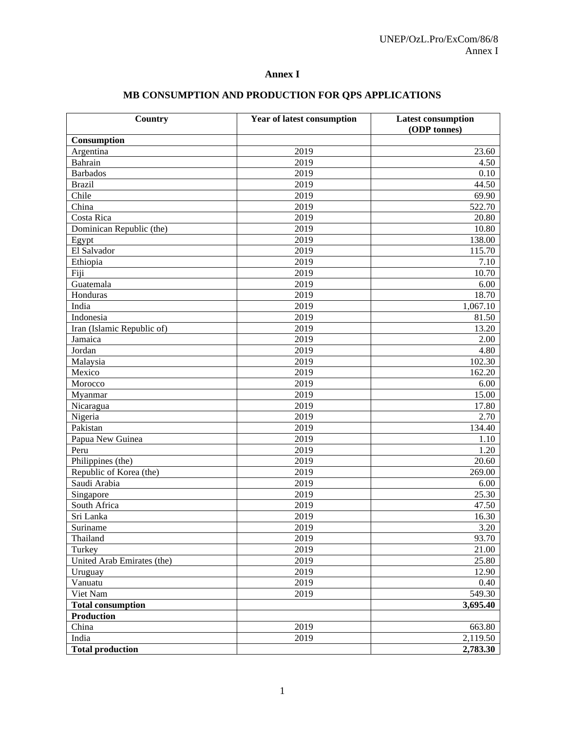## **Annex I**

| Country                    | <b>Year of latest consumption</b> | <b>Latest consumption</b> |  |
|----------------------------|-----------------------------------|---------------------------|--|
|                            |                                   | (ODP tonnes)              |  |
| Consumption                |                                   |                           |  |
| Argentina                  | 2019                              | 23.60                     |  |
| Bahrain                    | 2019                              | 4.50                      |  |
| <b>Barbados</b>            | 2019                              | 0.10                      |  |
| <b>Brazil</b>              | 2019                              | 44.50                     |  |
| Chile                      | 2019                              | 69.90                     |  |
| China                      | 2019                              | 522.70                    |  |
| Costa Rica                 | 2019                              | 20.80                     |  |
| Dominican Republic (the)   | 2019                              | 10.80                     |  |
| Egypt                      | 2019                              | 138.00                    |  |
| El Salvador                | 2019                              | 115.70                    |  |
| Ethiopia                   | 2019                              | 7.10                      |  |
| Fiji                       | 2019                              | 10.70                     |  |
| Guatemala                  | 2019                              | 6.00                      |  |
| Honduras                   | 2019                              | 18.70                     |  |
| India                      | 2019                              | 1,067.10                  |  |
| Indonesia                  | 2019                              | 81.50                     |  |
| Iran (Islamic Republic of) | 2019                              | 13.20                     |  |
| Jamaica                    | 2019                              | 2.00                      |  |
| Jordan                     | 2019                              | 4.80                      |  |
| Malaysia                   | 2019                              | 102.30                    |  |
| Mexico                     | 2019                              | 162.20                    |  |
| Morocco                    | 2019                              | 6.00                      |  |
| Myanmar                    | 2019                              | 15.00                     |  |
| Nicaragua                  | 2019                              | 17.80                     |  |
| Nigeria                    | 2019                              | 2.70                      |  |
| Pakistan                   | 2019                              | 134.40                    |  |
| Papua New Guinea           | 2019                              | 1.10                      |  |
| Peru                       | 2019                              | 1.20                      |  |
| Philippines (the)          | 2019                              | 20.60                     |  |
| Republic of Korea (the)    | 2019                              | 269.00                    |  |
| Saudi Arabia               | 2019                              | 6.00                      |  |
| Singapore                  | 2019                              | 25.30                     |  |
| South Africa               | 2019                              | 47.50                     |  |
| Sri Lanka                  | 2019                              | 16.30                     |  |
| Suriname                   | 2019                              | 3.20                      |  |
| Thailand                   | 2019                              | 93.70                     |  |
| Turkey                     | 2019                              | 21.00                     |  |
| United Arab Emirates (the) | 2019                              | 25.80                     |  |
| Uruguay                    | 2019                              | 12.90                     |  |
| Vanuatu                    | 2019                              | 0.40                      |  |
| Viet Nam                   | 2019                              | 549.30                    |  |
| <b>Total consumption</b>   |                                   | 3,695.40                  |  |
| Production                 |                                   |                           |  |
| China                      | 2019                              | 663.80                    |  |
| India                      | 2019                              | 2,119.50                  |  |
| <b>Total production</b>    |                                   | 2,783.30                  |  |

# **MB CONSUMPTION AND PRODUCTION FOR QPS APPLICATIONS**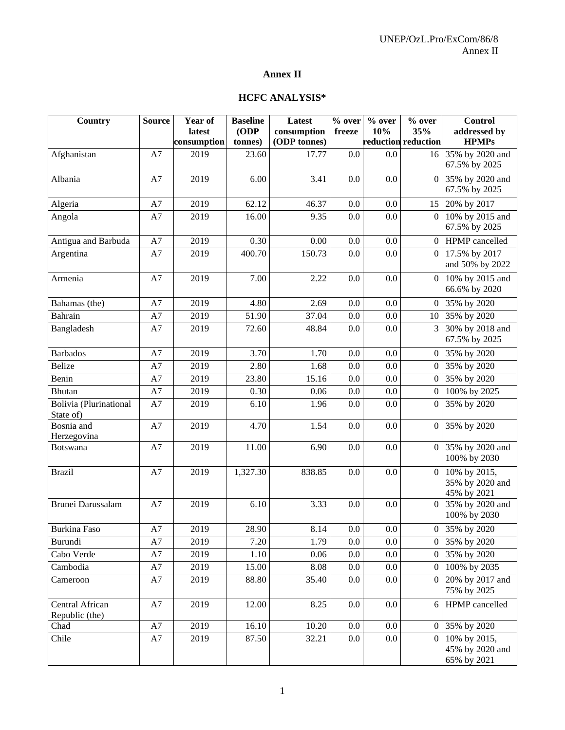# **Annex II**

# **HCFC ANALYSIS\***

| Country                             | <b>Source</b> | Year of     | <b>Baseline</b>    | Latest       | $\overline{\frac{9}{6}}$ over | % over | % over              | <b>Control</b>                                      |
|-------------------------------------|---------------|-------------|--------------------|--------------|-------------------------------|--------|---------------------|-----------------------------------------------------|
|                                     |               | latest      | (ODP)              | consumption  | freeze                        | 10%    | 35%                 | addressed by                                        |
|                                     |               | consumption | tonnes)            | (ODP tonnes) |                               |        | reduction reduction | <b>HPMPs</b>                                        |
| Afghanistan                         | A7            | 2019        | 23.60              | 17.77        | 0.0                           | 0.0    | 16                  | 35% by 2020 and<br>67.5% by 2025                    |
| Albania                             | A7            | 2019        | 6.00               | 3.41         | 0.0                           | 0.0    | $\Omega$            | 35% by 2020 and<br>67.5% by 2025                    |
| Algeria                             | A7            | 2019        | 62.12              | 46.37        | 0.0                           | 0.0    |                     | 15 20% by 2017                                      |
| Angola                              | A7            | 2019        | 16.00              | 9.35         | 0.0                           | 0.0    | $\Omega$            | 10% by 2015 and<br>67.5% by 2025                    |
| Antigua and Barbuda                 | A7            | 2019        | 0.30               | 0.00         | 0.0                           | 0.0    |                     | 0 HPMP cancelled                                    |
| Argentina                           | A7            | 2019        | 400.70             | 150.73       | 0.0                           | 0.0    | $\Omega$            | 17.5% by 2017<br>and 50% by 2022                    |
| Armenia                             | A7            | 2019        | 7.00               | 2.22         | 0.0                           | 0.0    | $\overline{0}$      | 10% by 2015 and<br>66.6% by 2020                    |
| Bahamas (the)                       | A7            | 2019        | 4.80               | 2.69         | 0.0                           | 0.0    |                     | 0 35% by 2020                                       |
| Bahrain                             | A7            | 2019        | 51.90              | 37.04        | 0.0                           | 0.0    | 10                  | 35% by 2020                                         |
| Bangladesh                          | A7            | 2019        | 72.60              | 48.84        | 0.0                           | 0.0    | 3                   | 30% by 2018 and<br>67.5% by 2025                    |
| <b>Barbados</b>                     | A7            | 2019        | 3.70               | 1.70         | 0.0                           | 0.0    |                     | 0 35% by 2020                                       |
| <b>Belize</b>                       | A7            | 2019        | 2.80               | 1.68         | 0.0                           | 0.0    | 0                   | 35% by 2020                                         |
| Benin                               | A7            | 2019        | 23.80              | 15.16        | 0.0                           | 0.0    |                     | 0 35% by 2020                                       |
| <b>Bhutan</b>                       | A7            | 2019        | 0.30               | 0.06         | 0.0                           | 0.0    | 0                   | 100% by 2025                                        |
| Bolivia (Plurinational<br>State of) | A7            | 2019        | 6.10               | 1.96         | 0.0                           | 0.0    | $\overline{0}$      | 35% by 2020                                         |
| Bosnia and<br>Herzegovina           | A7            | 2019        | 4.70               | 1.54         | 0.0                           | 0.0    | 0                   | 35% by 2020                                         |
| Botswana                            | A7            | 2019        | 11.00              | 6.90         | 0.0                           | 0.0    | $\overline{0}$      | 35% by 2020 and<br>100% by 2030                     |
| <b>Brazil</b>                       | A7            | 2019        | 1,327.30           | 838.85       | 0.0                           | 0.0    | $\overline{0}$      | 10% by 2015,<br>35% by 2020 and<br>45% by 2021      |
| Brunei Darussalam                   | A7            | 2019        | 6.10               | 3.33         | 0.0                           | 0.0    | $\Omega$            | 35% by 2020 and<br>100% by 2030                     |
| Burkina Faso                        | A7            | 2019        | 28.90              | 8.14         | $0.0\,$                       | 0.0    |                     | 0 35% by 2020                                       |
| Burundi                             | A7            | 2019        | 7.20               | 1.79         | 0.0                           | 0.0    |                     | $0$ 35% by 2020                                     |
| Cabo Verde                          | A7            | 2019        | 1.10               | 0.06         | 0.0                           | 0.0    | 0 I                 | 35% by 2020                                         |
| Cambodia                            | A7            | 2019        | 15.00              | 8.08         | 0.0                           | 0.0    | 0                   | 100% by 2035                                        |
| Cameroon                            | A7            | 2019        | 88.80              | 35.40        | 0.0                           | 0.0    | 0                   | 20% by 2017 and<br>75% by 2025                      |
| Central African<br>Republic (the)   | A7            | 2019        | 12.00              | 8.25         | 0.0                           | 0.0    | 6                   | HPMP cancelled                                      |
| Chad                                | A7            | 2019        | $\overline{16.10}$ | 10.20        | 0.0                           | 0.0    |                     | $0$ 35% by 2020                                     |
| Chile                               | A7            | 2019        | 87.50              | 32.21        | 0.0                           | 0.0    |                     | $0 10\%$ by 2015,<br>45% by 2020 and<br>65% by 2021 |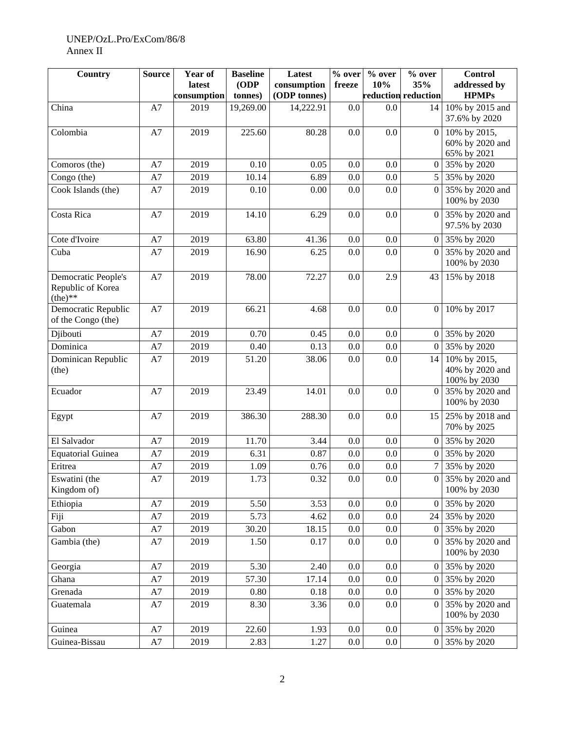## UNEP/OzL.Pro/ExCom/86/8 Annex II

| Country                                               | <b>Source</b> | Year of<br>latest | <b>Baseline</b><br>(ODP) | Latest<br>consumption | $\frac{1}{2}$ over<br>freeze | $%$ over<br>10% | % over<br>35%       | <b>Control</b><br>addressed by                  |
|-------------------------------------------------------|---------------|-------------------|--------------------------|-----------------------|------------------------------|-----------------|---------------------|-------------------------------------------------|
|                                                       |               | consumption       | tonnes)                  | (ODP tonnes)          |                              |                 | reduction reduction | <b>HPMPs</b>                                    |
| China                                                 | A7            | 2019              | 19,269.00                | 14,222.91             | 0.0                          | 0.0             | 14                  | 10% by 2015 and<br>37.6% by 2020                |
| Colombia                                              | A7            | 2019              | 225.60                   | 80.28                 | 0.0                          | 0.0             | $\overline{0}$      | 10% by 2015,<br>60% by 2020 and<br>65% by 2021  |
| Comoros (the)                                         | A7            | 2019              | 0.10                     | 0.05                  | 0.0                          | 0.0             | $\overline{0}$      | 35% by 2020                                     |
| Congo (the)                                           | A7            | 2019              | 10.14                    | 6.89                  | 0.0                          | 0.0             | 5 <sub>1</sub>      | 35% by 2020                                     |
| Cook Islands (the)                                    | A7            | 2019              | 0.10                     | 0.00                  | 0.0                          | 0.0             | 0                   | 35% by 2020 and<br>100% by 2030                 |
| Costa Rica                                            | A7            | 2019              | 14.10                    | 6.29                  | 0.0                          | 0.0             | $\overline{0}$      | 35% by 2020 and<br>97.5% by 2030                |
| Cote d'Ivoire                                         | A7            | 2019              | 63.80                    | 41.36                 | 0.0                          | 0.0             | $\Omega$            | 35% by 2020                                     |
| Cuba                                                  | A7            | 2019              | 16.90                    | 6.25                  | 0.0                          | 0.0             | $\overline{0}$      | 35% by 2020 and<br>100% by 2030                 |
| Democratic People's<br>Republic of Korea<br>$(the)**$ | A7            | 2019              | 78.00                    | 72.27                 | 0.0                          | 2.9             | 43                  | 15% by 2018                                     |
| Democratic Republic<br>of the Congo (the)             | A7            | 2019              | 66.21                    | 4.68                  | 0.0                          | 0.0             | $\mathbf{0}$        | 10% by 2017                                     |
| Djibouti                                              | A7            | 2019              | 0.70                     | 0.45                  | 0.0                          | 0.0             | 0                   | 35% by 2020                                     |
| Dominica                                              | A7            | 2019              | 0.40                     | 0.13                  | 0.0                          | 0.0             | $\overline{0}$      | 35% by 2020                                     |
| Dominican Republic<br>(the)                           | A7            | 2019              | 51.20                    | 38.06                 | 0.0                          | 0.0             | 14                  | 10% by 2015,<br>40% by 2020 and<br>100% by 2030 |
| Ecuador                                               | A7            | 2019              | 23.49                    | 14.01                 | 0.0                          | 0.0             | $\overline{0}$      | 35% by 2020 and<br>100% by 2030                 |
| Egypt                                                 | A7            | 2019              | 386.30                   | 288.30                | 0.0                          | 0.0             | 15                  | 25% by 2018 and<br>70% by 2025                  |
| El Salvador                                           | A7            | 2019              | 11.70                    | 3.44                  | 0.0                          | 0.0             | $\overline{0}$      | 35% by 2020                                     |
| <b>Equatorial Guinea</b>                              | A7            | 2019              | 6.31                     | 0.87                  | 0.0                          | 0.0             | $\overline{0}$      | 35% by 2020                                     |
| Eritrea                                               | A7            | 2019              | 1.09                     | 0.76                  | 0.0                          | 0.0             |                     | 35% by 2020                                     |
| Eswatini (the<br>Kingdom of)                          | A7            | 2019              | 1.73                     | 0.32                  | $0.0\,$                      | $0.0\,$         | $\overline{0}$      | 35% by 2020 and<br>100% by 2030                 |
| Ethiopia                                              | A7            | 2019              | 5.50                     | 3.53                  | $0.0\,$                      | $0.0\,$         | 0                   | 35% by 2020                                     |
| Fiji                                                  | A7            | 2019              | 5.73                     | 4.62                  | 0.0                          | 0.0             | 24                  | 35% by 2020                                     |
| Gabon                                                 | A7            | 2019              | 30.20                    | 18.15                 | 0.0                          | 0.0             | $\overline{0}$      | 35% by 2020                                     |
| Gambia (the)                                          | A7            | 2019              | 1.50                     | 0.17                  | 0.0                          | 0.0             | $\overline{0}$      | 35% by 2020 and<br>100% by 2030                 |
| Georgia                                               | A7            | 2019              | 5.30                     | 2.40                  | 0.0                          | 0.0             | $\overline{0}$      | 35% by 2020                                     |
| Ghana                                                 | A7            | 2019              | 57.30                    | 17.14                 | 0.0                          | 0.0             | $\overline{0}$      | 35% by 2020                                     |
| Grenada                                               | A7            | 2019              | 0.80                     | 0.18                  | 0.0                          | 0.0             | $\overline{0}$      | 35% by 2020                                     |
| Guatemala                                             | A7            | 2019              | 8.30                     | 3.36                  | 0.0                          | 0.0             | 0                   | 35% by 2020 and<br>100% by 2030                 |
| Guinea                                                | A7            | 2019              | 22.60                    | 1.93                  | 0.0                          | 0.0             | $\overline{0}$      | 35% by 2020                                     |
| Guinea-Bissau                                         | $\rm A7$      | 2019              | 2.83                     | 1.27                  | 0.0                          | $0.0\,$         | $\vert 0 \vert$     | 35% by 2020                                     |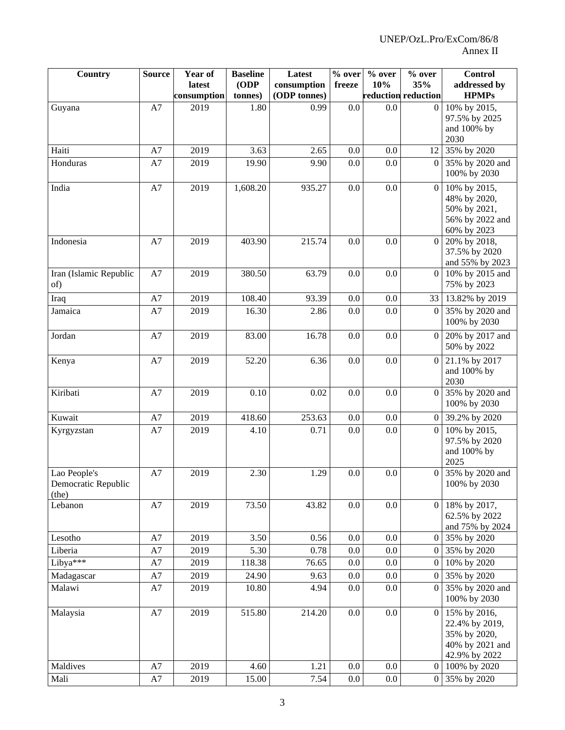| <b>Country</b>                               | <b>Source</b> | Year of<br>latest | <b>Baseline</b><br>(ODP | Latest<br>consumption | $\overline{\%}$ over<br>freeze | % over<br>10% | $%$ over<br>35%     | <b>Control</b><br>addressed by                                                     |
|----------------------------------------------|---------------|-------------------|-------------------------|-----------------------|--------------------------------|---------------|---------------------|------------------------------------------------------------------------------------|
|                                              |               | consumption       | tonnes)                 | (ODP tonnes)          |                                |               | reduction reduction | <b>HPMPs</b>                                                                       |
| Guyana                                       | A7            | 2019              | 1.80                    | 0.99                  | 0.0                            | 0.0           | $\Omega$            | 10% by 2015,<br>97.5% by 2025                                                      |
|                                              |               |                   |                         |                       |                                |               |                     | and 100% by                                                                        |
|                                              |               |                   |                         |                       |                                |               |                     | 2030                                                                               |
| Haiti                                        | A7            | 2019              | 3.63                    | 2.65                  | 0.0                            | 0.0           | 12 <sub>1</sub>     | 35% by 2020                                                                        |
| Honduras                                     | A7            | 2019              | 19.90                   | 9.90                  | 0.0                            | 0.0           | $\Omega$            | 35% by 2020 and<br>100% by 2030                                                    |
| India                                        | A7            | 2019              | 1,608.20                | 935.27                | 0.0                            | 0.0           | $\vert 0 \vert$     | 10% by 2015,<br>48% by 2020,<br>50% by 2021,<br>56% by 2022 and<br>60% by 2023     |
| Indonesia                                    | A7            | 2019              | 403.90                  | 215.74                | 0.0                            | 0.0           | $\Omega$            | 20% by 2018,<br>37.5% by 2020<br>and 55% by 2023                                   |
| Iran (Islamic Republic<br>of)                | A7            | 2019              | 380.50                  | 63.79                 | 0.0                            | 0.0           | $\Omega$            | 10% by 2015 and<br>75% by 2023                                                     |
| Iraq                                         | A7            | 2019              | 108.40                  | 93.39                 | 0.0                            | 0.0           | 33                  | 13.82% by 2019                                                                     |
| Jamaica                                      | A7            | 2019              | 16.30                   | 2.86                  | 0.0                            | 0.0           | $\Omega$            | 35% by 2020 and<br>100% by 2030                                                    |
| Jordan                                       | A7            | 2019              | 83.00                   | 16.78                 | $0.0\,$                        | 0.0           | $\theta$            | 20% by 2017 and<br>50% by 2022                                                     |
| Kenya                                        | A7            | 2019              | 52.20                   | 6.36                  | 0.0                            | 0.0           | 0 <sup>1</sup>      | 21.1% by 2017<br>and 100% by<br>2030                                               |
| Kiribati                                     | A7            | 2019              | 0.10                    | 0.02                  | 0.0                            | 0.0           | $\Omega$            | 35% by 2020 and<br>100% by 2030                                                    |
| Kuwait                                       | A7            | 2019              | 418.60                  | 253.63                | 0.0                            | 0.0           | $\Omega$            | 39.2% by 2020                                                                      |
| Kyrgyzstan                                   | A7            | 2019              | 4.10                    | 0.71                  | 0.0                            | 0.0           | $\overline{0}$      | 10% by 2015,<br>97.5% by 2020<br>and 100% by<br>2025                               |
| Lao People's<br>Democratic Republic<br>(the) | A7            | 2019              | 2.30                    | 1.29                  | 0.0                            | 0.0           | $\overline{0}$      | 35% by 2020 and<br>100% by 2030                                                    |
| Lebanon                                      | $\rm A7$      | 2019              | 73.50                   | 43.82                 | 0.0                            | 0.0           |                     | $0 18\%$ by 2017,<br>62.5% by 2022<br>and 75% by 2024                              |
| Lesotho                                      | A7            | 2019              | 3.50                    | 0.56                  | 0.0                            | 0.0           |                     | $0$ 35% by 2020                                                                    |
| Liberia                                      | A7            | 2019              | 5.30                    | 0.78                  | 0.0                            | 0.0           | $\theta$            | 35% by 2020                                                                        |
| Libya***                                     | A7            | 2019              | 118.38                  | 76.65                 | 0.0                            | 0.0           | $\vert 0 \vert$     | 10% by 2020                                                                        |
| Madagascar                                   | A7            | 2019              | 24.90                   | 9.63                  | 0.0                            | 0.0           | $\theta$            | 35% by 2020                                                                        |
| Malawi                                       | A7            | 2019              | 10.80                   | 4.94                  | 0.0                            | 0.0           | $\Omega$            | 35% by 2020 and<br>100% by 2030                                                    |
| Malaysia                                     | $\rm A7$      | 2019              | 515.80                  | 214.20                | 0.0                            | 0.0           | 0 <sub>1</sub>      | 15% by 2016,<br>22.4% by 2019,<br>35% by 2020,<br>40% by 2021 and<br>42.9% by 2022 |
| Maldives                                     | A7            | 2019              | 4.60                    | 1.21                  | 0.0                            | 0.0           | $\theta$            | 100% by 2020                                                                       |
| Mali                                         | A7            | 2019              | 15.00                   | 7.54                  | $0.0\,$                        | $0.0\,$       | $\overline{0}$      | 35% by 2020                                                                        |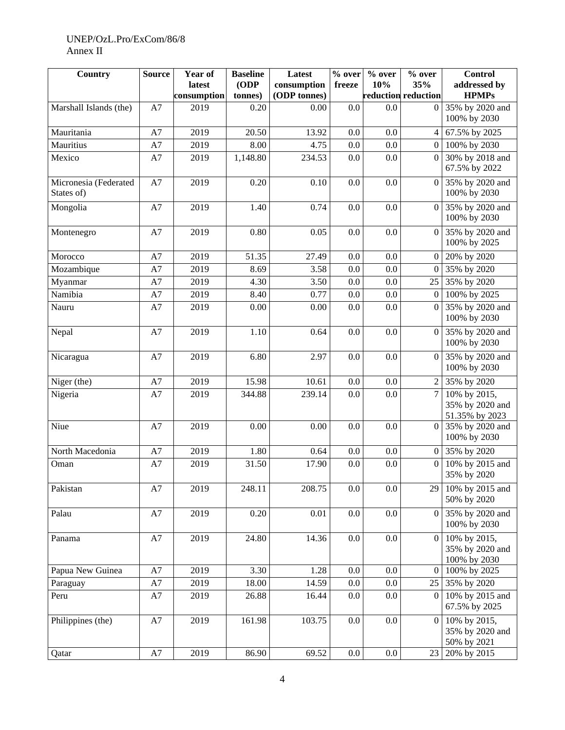## UNEP/OzL.Pro/ExCom/86/8 Annex II

| Country                             | <b>Source</b> | Year of<br>latest<br>consumption | <b>Baseline</b><br>(ODP)<br>tonnes) | Latest<br>consumption<br>(ODP tonnes) | $\overline{\frac{0}{6}}$ over<br>freeze | % over<br>10% | % over<br>35%<br>reduction reduction | <b>Control</b><br>addressed by<br><b>HPMPs</b>    |
|-------------------------------------|---------------|----------------------------------|-------------------------------------|---------------------------------------|-----------------------------------------|---------------|--------------------------------------|---------------------------------------------------|
| Marshall Islands (the)              | A7            | 2019                             | 0.20                                | 0.00                                  | 0.0                                     | 0.0           | $\Omega$                             | 35% by 2020 and<br>100% by 2030                   |
| Mauritania                          | A7            | 2019                             | 20.50                               | 13.92                                 | 0.0                                     | 0.0           | 4 <sup>1</sup>                       | 67.5% by 2025                                     |
| Mauritius                           | A7            | 2019                             | 8.00                                | 4.75                                  | 0.0                                     | 0.0           | $\Omega$                             | 100% by 2030                                      |
| Mexico                              | A7            | 2019                             | 1,148.80                            | 234.53                                | 0.0                                     | 0.0           | $\Omega$                             | 30% by 2018 and<br>67.5% by 2022                  |
| Micronesia (Federated<br>States of) | A7            | 2019                             | 0.20                                | 0.10                                  | 0.0                                     | 0.0           | $\overline{0}$                       | 35% by 2020 and<br>100% by 2030                   |
| Mongolia                            | A7            | 2019                             | 1.40                                | 0.74                                  | 0.0                                     | 0.0           | $\Omega$                             | 35% by 2020 and<br>100% by 2030                   |
| Montenegro                          | A7            | 2019                             | 0.80                                | 0.05                                  | 0.0                                     | 0.0           |                                      | 0 35% by 2020 and<br>100% by 2025                 |
| Morocco                             | A7            | 2019                             | 51.35                               | 27.49                                 | 0.0                                     | 0.0           | $\overline{0}$                       | 20% by 2020                                       |
| Mozambique                          | A7            | 2019                             | 8.69                                | 3.58                                  | 0.0                                     | 0.0           | $\Omega$                             | 35% by 2020                                       |
| Myanmar                             | A7            | 2019                             | 4.30                                | 3.50                                  | 0.0                                     | 0.0           |                                      | 25 35% by 2020                                    |
| Namibia                             | A7            | 2019                             | 8.40                                | 0.77                                  | 0.0                                     | 0.0           | $\overline{0}$                       | 100% by 2025                                      |
| Nauru                               | A7            | 2019                             | 0.00                                | 0.00                                  | 0.0                                     | 0.0           | $\Omega$                             | 35% by 2020 and<br>100% by 2030                   |
| Nepal                               | A7            | 2019                             | 1.10                                | 0.64                                  | 0.0                                     | 0.0           | $\overline{0}$                       | 35% by 2020 and<br>100% by 2030                   |
| Nicaragua                           | A7            | 2019                             | 6.80                                | 2.97                                  | 0.0                                     | 0.0           | $\overline{0}$                       | 35% by 2020 and<br>100% by 2030                   |
| Niger (the)                         | A7            | 2019                             | 15.98                               | 10.61                                 | 0.0                                     | 0.0           | $\overline{2}$                       | 35% by 2020                                       |
| Nigeria                             | A7            | 2019                             | 344.88                              | 239.14                                | 0.0                                     | 0.0           | $\tau$                               | 10% by 2015,<br>35% by 2020 and<br>51.35% by 2023 |
| Niue                                | A7            | 2019                             | 0.00                                | 0.00                                  | 0.0                                     | 0.0           | $\Omega$                             | 35% by 2020 and<br>100% by 2030                   |
| North Macedonia                     | A7            | 2019                             | 1.80                                | 0.64                                  | 0.0                                     | 0.0           |                                      | $\overline{0}$ 35% by 2020                        |
| Oman                                | A7            | 2019                             | 31.50                               | 17.90                                 | 0.0                                     | 0.0           | $\overline{0}$                       | 10% by 2015 and<br>35% by 2020                    |
| Pakistan                            | A7            | 2019                             | 248.11                              | 208.75                                | $0.0\,$                                 | $0.0\,$       | 29 I                                 | 10% by 2015 and<br>50% by 2020                    |
| Palau                               | A7            | 2019                             | 0.20                                | $0.01\,$                              | $0.0\,$                                 | $0.0\,$       | $\overline{0}$                       | 35% by 2020 and<br>100% by 2030                   |
| Panama                              | A7            | 2019                             | 24.80                               | 14.36                                 | 0.0                                     | $0.0\,$       | $\overline{0}$                       | 10% by 2015,<br>35% by 2020 and<br>100% by 2030   |
| Papua New Guinea                    | A7            | 2019                             | 3.30                                | 1.28                                  | $0.0\,$                                 | $0.0\,$       | $\theta$                             | 100% by 2025                                      |
| Paraguay                            | A7            | 2019                             | 18.00                               | 14.59                                 | $0.0\,$                                 | $0.0\,$       | 25 <sub>1</sub>                      | 35% by 2020                                       |
| Peru                                | A7            | 2019                             | 26.88                               | 16.44                                 | 0.0                                     | 0.0           | $\Omega$                             | 10% by 2015 and<br>67.5% by 2025                  |
| Philippines (the)                   | A7            | 2019                             | 161.98                              | 103.75                                | 0.0                                     | 0.0           | $\Omega$                             | 10% by 2015,<br>35% by 2020 and<br>50% by 2021    |
| Qatar                               | A7            | 2019                             | 86.90                               | 69.52                                 | $0.0\,$                                 | $0.0\,$       | 23                                   | 20% by 2015                                       |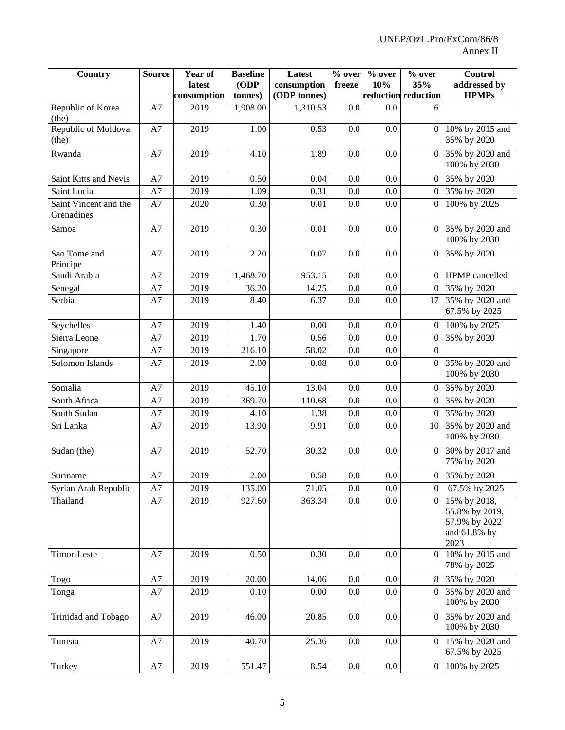| Country                             | <b>Source</b> | Year of<br>latest<br>consumption | <b>Baseline</b><br>(ODP)<br>tonnes) | Latest<br>consumption<br>(ODP tonnes) | % over<br>freeze | % over<br>10% | % over<br>35%<br>reduction reduction | <b>Control</b><br>addressed by<br><b>HPMPs</b>                          |
|-------------------------------------|---------------|----------------------------------|-------------------------------------|---------------------------------------|------------------|---------------|--------------------------------------|-------------------------------------------------------------------------|
| Republic of Korea<br>(the)          | A7            | 2019                             | 1,908.00                            | 1,310.53                              | 0.0              | 0.0           |                                      |                                                                         |
| Republic of Moldova<br>(the)        | A7            | 2019                             | 1.00                                | 0.53                                  | 0.0              | 0.0           | $\Omega$                             | 10% by 2015 and<br>35% by 2020                                          |
| Rwanda                              | A7            | 2019                             | 4.10                                | 1.89                                  | 0.0              | 0.0           |                                      | 0 35% by 2020 and<br>100% by 2030                                       |
| Saint Kitts and Nevis               | A7            | 2019                             | 0.50                                | 0.04                                  | 0.0              | 0.0           | $\Omega$                             | 35% by 2020                                                             |
| Saint Lucia                         | A7            | 2019                             | 1.09                                | 0.31                                  | 0.0              | 0.0           |                                      | 0 35% by 2020                                                           |
| Saint Vincent and the<br>Grenadines | A7            | 2020                             | 0.30                                | 0.01                                  | 0.0              | 0.0           | $\Omega$                             | 100% by 2025                                                            |
| Samoa                               | A7            | 2019                             | 0.30                                | 0.01                                  | 0.0              | 0.0           | 0                                    | 35% by 2020 and<br>100% by 2030                                         |
| Sao Tome and<br>Principe            | A7            | 2019                             | 2.20                                | 0.07                                  | 0.0              | 0.0           | $\overline{0}$                       | 35% by 2020                                                             |
| Saudi Arabia                        | A7            | 2019                             | 1,468.70                            | 953.15                                | 0.0              | 0.0           | $\Omega$                             | HPMP cancelled                                                          |
| Senegal                             | A7            | 2019                             | 36.20                               | 14.25                                 | 0.0              | 0.0           |                                      | 0 35% by 2020                                                           |
| Serbia                              | A7            | 2019                             | 8.40                                | 6.37                                  | 0.0              | 0.0           | 17                                   | 35% by 2020 and<br>67.5% by 2025                                        |
| Seychelles                          | A7            | 2019                             | 1.40                                | 0.00                                  | 0.0              | 0.0           | $\overline{0}$                       | 100% by 2025                                                            |
| Sierra Leone                        | A7            | 2019                             | 1.70                                | 0.56                                  | 0.0              | 0.0           | $\overline{0}$                       | 35% by 2020                                                             |
| Singapore                           | A7            | 2019                             | 216.10                              | 58.02                                 | 0.0              | 0.0           | $\Omega$                             |                                                                         |
| Solomon Islands                     | A7            | 2019                             | 2.00                                | 0.08                                  | 0.0              | 0.0           | $\overline{0}$                       | 35% by 2020 and<br>100% by 2030                                         |
| Somalia                             | A7            | 2019                             | 45.10                               | 13.04                                 | 0.0              | 0.0           |                                      | 0 35% by 2020                                                           |
| South Africa                        | A7            | 2019                             | 369.70                              | 110.68                                | 0.0              | 0.0           | $\Omega$                             | 35% by 2020                                                             |
| South Sudan                         | A7            | 2019                             | 4.10                                | 1.38                                  | 0.0              | 0.0           | $\Omega$                             | 35% by 2020                                                             |
| Sri Lanka                           | A7            | 2019                             | 13.90                               | 9.91                                  | 0.0              | 0.0           | 10                                   | 35% by 2020 and<br>100% by 2030                                         |
| Sudan (the)                         | A7            | 2019                             | 52.70                               | 30.32                                 | 0.0              | 0.0           | $\Omega$                             | 30% by 2017 and<br>75% by 2020                                          |
| Suriname                            | A7            | 2019                             | 2.00                                | 0.58                                  | 0.0              | 0.0           |                                      | 0 35% by 2020                                                           |
| Syrian Arab Republic                | A7            | 2019                             | 135.00                              | 71.05                                 | 0.0              | 0.0           | $\theta$                             | 67.5% by 2025                                                           |
| Thailand                            | A7            | 2019                             | 927.60                              | 363.34                                | 0.0              | 0.0           | $\overline{0}$                       | 15% by 2018,<br>55.8% by 2019,<br>57.9% by 2022<br>and 61.8% by<br>2023 |
| Timor-Leste                         | A7            | 2019                             | 0.50                                | 0.30                                  | 0.0              | 0.0           |                                      | 0 10% by 2015 and<br>78% by 2025                                        |
| Togo                                | A7            | 2019                             | 20.00                               | 14.06                                 | $0.0\,$          | 0.0           |                                      | 8 35% by 2020                                                           |
| Tonga                               | A7            | 2019                             | 0.10                                | 0.00                                  | 0.0              | 0.0           | $\Omega$                             | 35% by 2020 and<br>100% by 2030                                         |
| Trinidad and Tobago                 | $\rm A7$      | 2019                             | 46.00                               | 20.85                                 | 0.0              | 0.0           | $\overline{0}$                       | 35% by 2020 and<br>100% by 2030                                         |
| Tunisia                             | A7            | 2019                             | 40.70                               | 25.36                                 | 0.0              | 0.0           | $\overline{0}$                       | 15% by 2020 and<br>67.5% by 2025                                        |
| Turkey                              | A7            | 2019                             | 551.47                              | 8.54                                  | $0.0\,$          | $0.0\,$       | $\overline{0}$                       | 100% by 2025                                                            |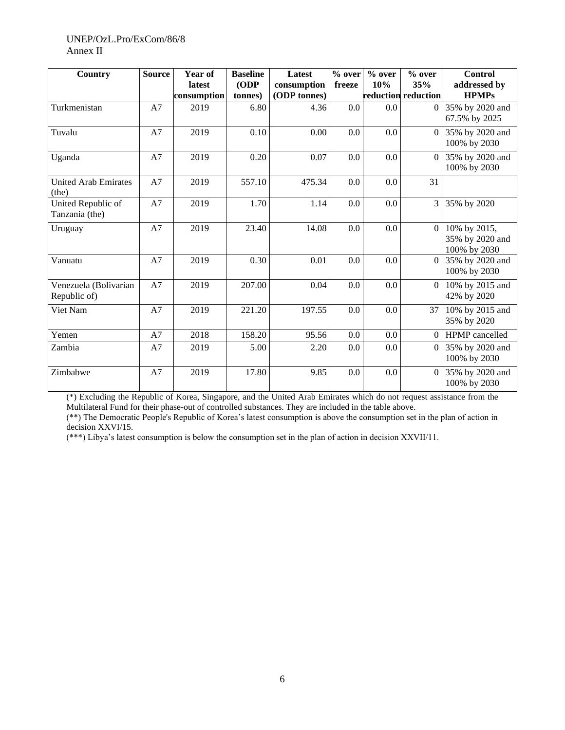#### UNEP/OzL.Pro/ExCom/86/8 Annex II

| <b>Country</b>                        | <b>Source</b> | Year of<br>latest<br>consumption | <b>Baseline</b><br>ODP<br>tonnes) | Latest<br>consumption<br>(ODP tonnes) | % over<br>freeze | % over<br>10% | % over<br>35%<br>reduction reduction | <b>Control</b><br>addressed by<br><b>HPMPs</b>  |
|---------------------------------------|---------------|----------------------------------|-----------------------------------|---------------------------------------|------------------|---------------|--------------------------------------|-------------------------------------------------|
| Turkmenistan                          | A7            | 2019                             | 6.80                              | 4.36                                  | 0.0              | 0.0           | $\Omega$                             | 35% by 2020 and<br>67.5% by 2025                |
| Tuvalu                                | A7            | 2019                             | 0.10                              | 0.00                                  | 0.0              | 0.0           | $\Omega$                             | 35% by 2020 and<br>100% by 2030                 |
| Uganda                                | A7            | 2019                             | 0.20                              | 0.07                                  | 0.0              | 0.0           | $\theta$                             | 35% by 2020 and<br>100% by 2030                 |
| <b>United Arab Emirates</b><br>(the)  | A7            | 2019                             | 557.10                            | 475.34                                | 0.0              | 0.0           | 31                                   |                                                 |
| United Republic of<br>Tanzania (the)  | A7            | 2019                             | 1.70                              | 1.14                                  | 0.0              | 0.0           | 3                                    | 35% by 2020                                     |
| Uruguay                               | A7            | 2019                             | 23.40                             | 14.08                                 | 0.0              | 0.0           | $\overline{0}$                       | 10% by 2015,<br>35% by 2020 and<br>100% by 2030 |
| Vanuatu                               | A7            | 2019                             | 0.30                              | 0.01                                  | 0.0              | 0.0           | $\Omega$                             | 35% by 2020 and<br>100% by 2030                 |
| Venezuela (Bolivarian<br>Republic of) | A7            | 2019                             | 207.00                            | 0.04                                  | 0.0              | $0.0\,$       | $\Omega$                             | 10% by 2015 and<br>42% by 2020                  |
| Viet Nam                              | A7            | 2019                             | 221.20                            | 197.55                                | 0.0              | 0.0           | 37                                   | 10% by 2015 and<br>35% by 2020                  |
| Yemen                                 | A7            | 2018                             | 158.20                            | 95.56                                 | 0.0              | $0.0\,$       | $\Omega$                             | HPMP cancelled                                  |
| Zambia                                | A7            | 2019                             | 5.00                              | 2.20                                  | 0.0              | 0.0           | $\overline{0}$                       | 35% by 2020 and<br>100% by 2030                 |
| Zimbabwe                              | A7            | 2019                             | 17.80                             | 9.85                                  | 0.0              | $0.0\,$       | $\Omega$                             | 35% by 2020 and<br>100% by 2030                 |

(\*) Excluding the Republic of Korea, Singapore, and the United Arab Emirates which do not request assistance from the Multilateral Fund for their phase-out of controlled substances. They are included in the table above.

(\*\*) The Democratic People's Republic of Korea's latest consumption is above the consumption set in the plan of action in decision XXVI/15.

(\*\*\*) Libya's latest consumption is below the consumption set in the plan of action in decision XXVII/11.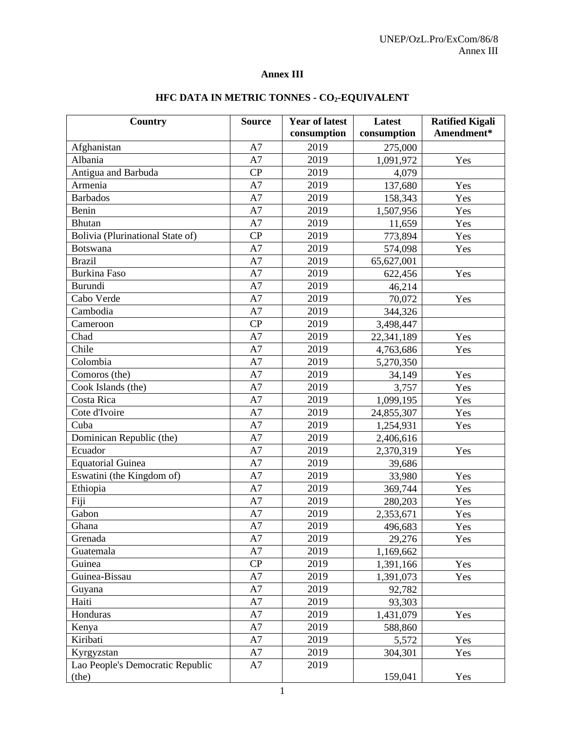# **Annex III**

| <b>Country</b>                   | <b>Source</b> | <b>Year of latest</b> | Latest      | <b>Ratified Kigali</b><br>Amendment* |
|----------------------------------|---------------|-----------------------|-------------|--------------------------------------|
|                                  |               | consumption           | consumption |                                      |
| Afghanistan                      | A7            | 2019                  | 275,000     |                                      |
| Albania                          | A7            | 2019                  | 1,091,972   | Yes                                  |
| Antigua and Barbuda              | CP            | 2019                  | 4,079       |                                      |
| Armenia                          | A7            | 2019                  | 137,680     | Yes                                  |
| <b>Barbados</b>                  | A7            | 2019                  | 158,343     | Yes                                  |
| Benin                            | A7            | 2019                  | 1,507,956   | Yes                                  |
| <b>Bhutan</b>                    | A7            | 2019                  | 11,659      | Yes                                  |
| Bolivia (Plurinational State of) | CP            | 2019                  | 773,894     | Yes                                  |
| <b>Botswana</b>                  | A7            | 2019                  | 574,098     | Yes                                  |
| <b>Brazil</b>                    | A7            | 2019                  | 65,627,001  |                                      |
| <b>Burkina Faso</b>              | A7            | 2019                  | 622,456     | Yes                                  |
| <b>Burundi</b>                   | A7            | 2019                  | 46,214      |                                      |
| Cabo Verde                       | A7            | 2019                  | 70,072      | Yes                                  |
| Cambodia                         | A7            | 2019                  | 344,326     |                                      |
| Cameroon                         | CP            | 2019                  | 3,498,447   |                                      |
| Chad                             | A7            | 2019                  | 22,341,189  | Yes                                  |
| Chile                            | A7            | 2019                  | 4,763,686   | Yes                                  |
| Colombia                         | A7            | 2019                  | 5,270,350   |                                      |
| Comoros (the)                    | A7            | 2019                  | 34,149      | Yes                                  |
| Cook Islands (the)               | A7            | 2019                  | 3,757       | Yes                                  |
| Costa Rica                       | A7            | 2019                  | 1,099,195   | Yes                                  |
| Cote d'Ivoire                    | A7            | 2019                  | 24,855,307  | Yes                                  |
| Cuba                             | A7            | 2019                  | 1,254,931   | Yes                                  |
| Dominican Republic (the)         | A7            | 2019                  | 2,406,616   |                                      |
| Ecuador                          | A7            | 2019                  | 2,370,319   | Yes                                  |
| <b>Equatorial Guinea</b>         | A7            | 2019                  | 39,686      |                                      |
| Eswatini (the Kingdom of)        | A7            | 2019                  | 33,980      | Yes                                  |
| Ethiopia                         | A7            | 2019                  | 369,744     | Yes                                  |
| Fiji                             | A7            | 2019                  | 280,203     | Yes                                  |
| Gabon                            | A7            | 2019                  | 2,353,671   | Yes                                  |
| Ghana                            | A7            | 2019                  | 496,683     | Yes                                  |
| Grenada                          | A7            | 2019                  | 29,276      | Yes                                  |
| Guatemala                        | A7            | 2019                  | 1,169,662   |                                      |
| Guinea                           | CP            | 2019                  | 1,391,166   | Yes                                  |
| Guinea-Bissau                    | A7            | 2019                  | 1,391,073   | Yes                                  |
| Guyana                           | A7            | 2019                  | 92,782      |                                      |
| Haiti                            | A7            | 2019                  | 93,303      |                                      |
| Honduras                         | A7            | 2019                  | 1,431,079   | Yes                                  |
| Kenya                            | A7            | 2019                  | 588,860     |                                      |
| Kiribati                         | A7            | 2019                  | 5,572       | Yes                                  |
| Kyrgyzstan                       | A7            | 2019                  | 304,301     | Yes                                  |
| Lao People's Democratic Republic | A7            | 2019                  |             |                                      |
| (the)                            |               |                       | 159,041     | Yes                                  |

# **HFC DATA IN METRIC TONNES - CO2-EQUIVALENT**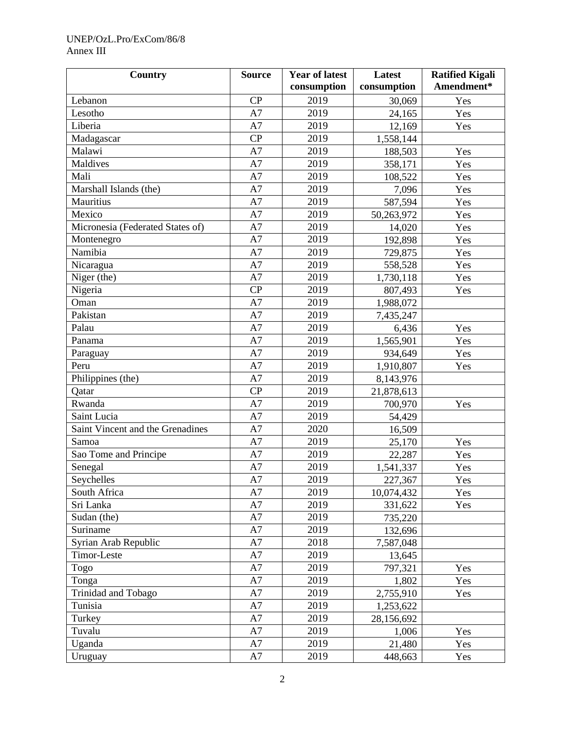# UNEP/OzL.Pro/ExCom/86/8 Annex III

| <b>Country</b>                   | <b>Source</b> | <b>Year of latest</b> | Latest      | <b>Ratified Kigali</b> |
|----------------------------------|---------------|-----------------------|-------------|------------------------|
|                                  |               | consumption           | consumption | Amendment*             |
| Lebanon                          | CP            | 2019                  | 30,069      | Yes                    |
| Lesotho                          | A7            | 2019                  | 24,165      | Yes                    |
| Liberia                          | A7            | 2019                  | 12,169      | Yes                    |
| Madagascar                       | CP            | 2019                  | 1,558,144   |                        |
| Malawi                           | A7            | 2019                  | 188,503     | Yes                    |
| Maldives                         | A7            | 2019                  | 358,171     | Yes                    |
| Mali                             | A7            | 2019                  | 108,522     | Yes                    |
| Marshall Islands (the)           | A7            | 2019                  | 7,096       | Yes                    |
| Mauritius                        | A7            | 2019                  | 587,594     | Yes                    |
| Mexico                           | A7            | 2019                  | 50,263,972  | Yes                    |
| Micronesia (Federated States of) | A7            | 2019                  | 14,020      | Yes                    |
| Montenegro                       | A7            | 2019                  | 192,898     | Yes                    |
| Namibia                          | A7            | 2019                  | 729,875     | Yes                    |
| Nicaragua                        | A7            | 2019                  | 558,528     | Yes                    |
| Niger (the)                      | A7            | 2019                  | 1,730,118   | Yes                    |
| Nigeria                          | CP            | 2019                  | 807,493     | Yes                    |
| Oman                             | A7            | 2019                  | 1,988,072   |                        |
| Pakistan                         | A7            | 2019                  | 7,435,247   |                        |
| Palau                            | A7            | 2019                  | 6,436       | Yes                    |
| Panama                           | A7            | 2019                  | 1,565,901   | Yes                    |
| Paraguay                         | A7            | 2019                  | 934,649     | Yes                    |
| Peru                             | A7            | 2019                  | 1,910,807   | Yes                    |
| Philippines (the)                | A7            | 2019                  | 8,143,976   |                        |
| Qatar                            | CP            | 2019                  | 21,878,613  |                        |
| Rwanda                           | A7            | 2019                  | 700,970     | Yes                    |
| Saint Lucia                      | A7            | 2019                  | 54,429      |                        |
| Saint Vincent and the Grenadines | A7            | 2020                  | 16,509      |                        |
| Samoa                            | A7            | 2019                  | 25,170      | Yes                    |
| Sao Tome and Principe            | A7            | 2019                  | 22,287      | Yes                    |
| Senegal                          | A7            | 2019                  | 1,541,337   | Yes                    |
| Seychelles                       | A7            | 2019                  | 227,367     | Yes                    |
| South Africa                     | A7            | 2019                  | 10,074,432  | Yes                    |
| Sri Lanka                        | A7            | 2019                  | 331,622     | Yes                    |
| Sudan (the)                      | A7            | 2019                  | 735,220     |                        |
| Suriname                         | A7            | 2019                  | 132,696     |                        |
| Syrian Arab Republic             | A7            | 2018                  | 7,587,048   |                        |
| Timor-Leste                      | A7            | 2019                  | 13,645      |                        |
| Togo                             | A7            | 2019                  | 797,321     | Yes                    |
| Tonga                            | A7            | 2019                  | 1,802       | Yes                    |
| Trinidad and Tobago              | A7            | 2019                  | 2,755,910   | Yes                    |
| Tunisia                          | A7            | 2019                  | 1,253,622   |                        |
| Turkey                           | A7            | 2019                  | 28,156,692  |                        |
| Tuvalu                           | A7            | 2019                  | 1,006       | Yes                    |
| Uganda                           | A7            | 2019                  | 21,480      | Yes                    |
| Uruguay                          | A7            | 2019                  | 448,663     | Yes                    |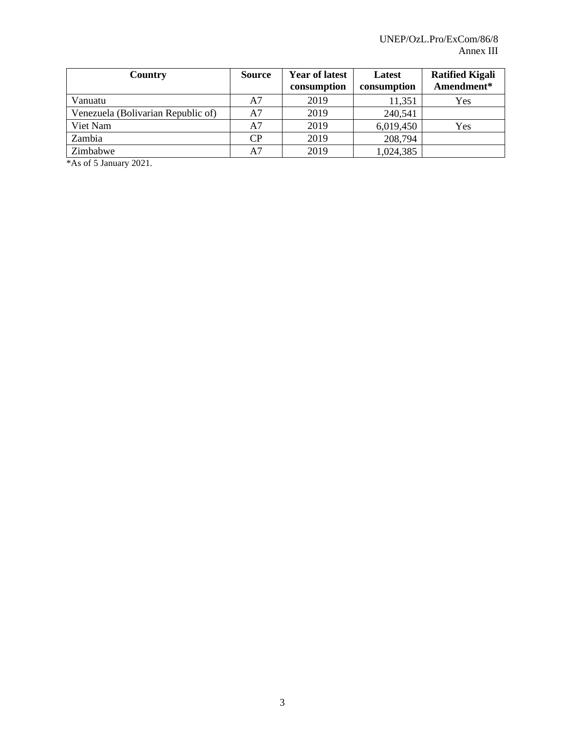| Country                            | <b>Source</b> | <b>Year of latest</b><br>consumption | Latest<br>consumption | <b>Ratified Kigali</b><br>Amendment* |
|------------------------------------|---------------|--------------------------------------|-----------------------|--------------------------------------|
| Vanuatu                            | A7            | 2019                                 | 11,351                | Yes                                  |
| Venezuela (Bolivarian Republic of) | A7            | 2019                                 | 240,541               |                                      |
| Viet Nam                           | A7            | 2019                                 | 6,019,450             | Yes                                  |
| Zambia                             | CP            | 2019                                 | 208,794               |                                      |
| Zimbabwe                           | A7            | 2019                                 | 1,024,385             |                                      |

\*As of 5 January 2021.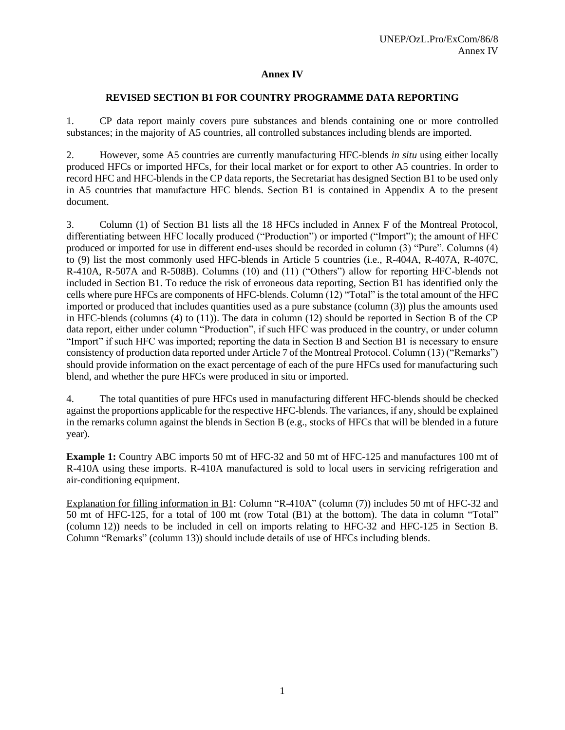#### **Annex IV**

#### **REVISED SECTION B1 FOR COUNTRY PROGRAMME DATA REPORTING**

1. CP data report mainly covers pure substances and blends containing one or more controlled substances; in the majority of A5 countries, all controlled substances including blends are imported.

2. However, some A5 countries are currently manufacturing HFC-blends *in situ* using either locally produced HFCs or imported HFCs, for their local market or for export to other A5 countries. In order to record HFC and HFC-blends in the CP data reports, the Secretariat has designed Section B1 to be used only in A5 countries that manufacture HFC blends. Section B1 is contained in Appendix A to the present document.

3. Column (1) of Section B1 lists all the 18 HFCs included in Annex F of the Montreal Protocol, differentiating between HFC locally produced ("Production") or imported ("Import"); the amount of HFC produced or imported for use in different end-uses should be recorded in column (3) "Pure". Columns (4) to (9) list the most commonly used HFC-blends in Article 5 countries (i.e., R-404A, R-407A, R-407C, R-410A, R-507A and R-508B). Columns (10) and (11) ("Others") allow for reporting HFC-blends not included in Section B1. To reduce the risk of erroneous data reporting, Section B1 has identified only the cells where pure HFCs are components of HFC-blends. Column (12) "Total" is the total amount of the HFC imported or produced that includes quantities used as a pure substance (column (3)) plus the amounts used in HFC-blends (columns  $(4)$  to  $(11)$ ). The data in column  $(12)$  should be reported in Section B of the CP data report, either under column "Production", if such HFC was produced in the country, or under column "Import" if such HFC was imported; reporting the data in Section B and Section B1 is necessary to ensure consistency of production data reported under Article 7 of the Montreal Protocol. Column (13) ("Remarks") should provide information on the exact percentage of each of the pure HFCs used for manufacturing such blend, and whether the pure HFCs were produced in situ or imported.

4. The total quantities of pure HFCs used in manufacturing different HFC-blends should be checked against the proportions applicable for the respective HFC-blends. The variances, if any, should be explained in the remarks column against the blends in Section B (e.g., stocks of HFCs that will be blended in a future year).

**Example 1:** Country ABC imports 50 mt of HFC-32 and 50 mt of HFC-125 and manufactures 100 mt of R-410A using these imports. R-410A manufactured is sold to local users in servicing refrigeration and air-conditioning equipment.

Explanation for filling information in B1: Column "R-410A" (column (7)) includes 50 mt of HFC-32 and 50 mt of HFC-125, for a total of 100 mt (row Total (B1) at the bottom). The data in column "Total" (column 12)) needs to be included in cell on imports relating to HFC-32 and HFC-125 in Section B. Column "Remarks" (column 13)) should include details of use of HFCs including blends.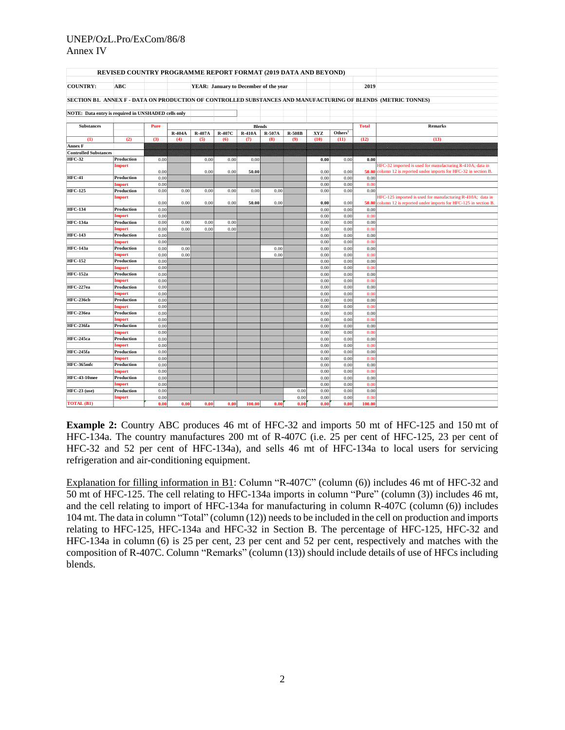#### UNEP/OzL.Pro/ExCom/86/8 Annex IV

| REVISED COUNTRY PROGRAMME REPORT FORMAT (2019 DATA AND BEYOND)                                                |                      |              |        |        |                                       |               |        |               |              |                     |               |                                                               |
|---------------------------------------------------------------------------------------------------------------|----------------------|--------------|--------|--------|---------------------------------------|---------------|--------|---------------|--------------|---------------------|---------------|---------------------------------------------------------------|
| <b>COUNTRY:</b>                                                                                               | <b>ABC</b>           |              |        |        | YEAR: January to December of the year |               |        |               |              |                     | 2019          |                                                               |
|                                                                                                               |                      |              |        |        |                                       |               |        |               |              |                     |               |                                                               |
| SECTION B1. ANNEX F - DATA ON PRODUCTION OF CONTROLLED SUBSTANCES AND MANUFACTURING OF BLENDS (METRIC TONNES) |                      |              |        |        |                                       |               |        |               |              |                     |               |                                                               |
|                                                                                                               |                      |              |        |        |                                       |               |        |               |              |                     |               |                                                               |
| NOTE: Data entry is required in UNSHADED cells only                                                           |                      |              |        |        |                                       |               |        |               |              |                     |               |                                                               |
|                                                                                                               |                      |              |        |        |                                       |               |        |               |              |                     |               |                                                               |
| <b>Substances</b>                                                                                             |                      | Pure         |        |        |                                       | <b>Blends</b> |        |               |              |                     | <b>Total</b>  | <b>Remarks</b>                                                |
|                                                                                                               |                      |              | R-404A | R-407A | R-407C                                | <b>R-410A</b> | R-507A | <b>R-508B</b> | XYZ          | Others <sup>1</sup> |               |                                                               |
| (1)                                                                                                           | (2)                  | (3)          | (4)    | (5)    | (6)                                   | (7)           | (8)    | (9)           | (10)         | (11)                | (12)          | (13)                                                          |
| Annex F                                                                                                       |                      |              |        |        |                                       |               |        |               |              |                     |               |                                                               |
| <b>Controlled Substances</b>                                                                                  |                      |              |        |        |                                       |               |        |               |              |                     |               |                                                               |
| <b>HFC-32</b>                                                                                                 | Production           | 0.00         |        | 0.00   | 0.00                                  | 0.00          |        |               | 0.00         | 0.00                | 0.00          |                                                               |
|                                                                                                               | <b>Import</b>        |              |        | 0.00   | 0.00                                  |               |        |               | 0.00         | 0.00                |               | HFC-32 imported is used for manufacturing R-410A; data in     |
| <b>HFC-41</b>                                                                                                 | Production           | 0.00<br>0.00 |        |        |                                       | 50.00         |        |               | 0.00         | 0.00                | 50.00<br>0.00 | column 12 is reported under imports for HFC-32 in section B.  |
|                                                                                                               | Import               | 0.00         |        |        |                                       |               |        |               | 0.00         | 0.00                | 0.00          |                                                               |
| <b>HFC-125</b>                                                                                                | Production           | 0.00         | 0.00   | 0.00   | 0.00                                  | 0.00          | 0.00   |               | 0.00         | 0.00                | 0.00          |                                                               |
|                                                                                                               | <b>Import</b>        |              |        |        |                                       |               |        |               |              |                     |               | HFC-125 imported is used for manufacturing R-410A; data in    |
|                                                                                                               |                      | 0.00         | 0.00   | 0.00   | 0.00                                  | 50.00         | 0.00   |               | 0.00         | 0.00                | 50.00         | column 12 is reported under imports for HFC-125 in section B. |
| <b>HFC-134</b>                                                                                                | Production           | 0.00         |        |        |                                       |               |        |               | 0.00         | 0.00                | 0.00          |                                                               |
|                                                                                                               | Import               | 0.00         |        |        |                                       |               |        |               | 0.00         | 0.00                | 0.00          |                                                               |
| <b>HFC-134a</b>                                                                                               | Production           | 0.00         | 0.00   | 0.00   | 0.00                                  |               |        |               | 0.00         | 0.00                | 0.00          |                                                               |
|                                                                                                               | <b>Import</b>        | 0.00         | 0.00   | 0.00   | 0.00                                  |               |        |               | 0.00         | 0.00                | 0.00          |                                                               |
| <b>HFC-143</b>                                                                                                | Production           | 0.00         |        |        |                                       |               |        |               | 0.00         | 0.00                | 0.00          |                                                               |
|                                                                                                               | <b>Import</b>        | 0.00         |        |        |                                       |               |        |               | 0.00         | 0.00                | 0.0           |                                                               |
| <b>HFC-143a</b>                                                                                               | Production           | 0.00         | 0.00   |        |                                       |               | 0.00   |               | 0.00         | 0.00                | 0.00          |                                                               |
| <b>HFC-152</b>                                                                                                | Import<br>Production | 0.00<br>0.00 | 0.00   |        |                                       |               | 0.00   |               | 0.00<br>0.00 | 0.00<br>0.00        | 0.00<br>0.00  |                                                               |
|                                                                                                               | <b>Import</b>        | 0.00         |        |        |                                       |               |        |               | 0.00         | 0.00                | 0.00          |                                                               |
| <b>HFC-152a</b>                                                                                               | Production           | 0.00         |        |        |                                       |               |        |               | 0.00         | 0.00                | 0.00          |                                                               |
|                                                                                                               | Import               | 0.00         |        |        |                                       |               |        |               | 0.00         | 0.00                | 0.00          |                                                               |
| HFC-227ea                                                                                                     | Production           | 0.00         |        |        |                                       |               |        |               | 0.00         | 0.00                | 0.00          |                                                               |
|                                                                                                               | <b>Import</b>        | 0.00         |        |        |                                       |               |        |               | 0.00         | 0.00                | 0.00          |                                                               |
| <b>HFC-236cb</b>                                                                                              | Production           | 0.00         |        |        |                                       |               |        |               | 0.00         | 0.00                | 0.00          |                                                               |
|                                                                                                               | <b>Import</b>        | 0.00         |        |        |                                       |               |        |               | 0.00         | 0.00                | 0.00          |                                                               |
| HFC-236ea                                                                                                     | Production           | 0.00         |        |        |                                       |               |        |               | 0.00         | 0.00                | 0.00          |                                                               |
|                                                                                                               | <b>Import</b>        | 0.00         |        |        |                                       |               |        |               | 0.00         | 0.00                | 0.0           |                                                               |
| HFC-236fa                                                                                                     | Production           | 0.00         |        |        |                                       |               |        |               | 0.00         | 0.00                | 0.00          |                                                               |
|                                                                                                               | <b>Import</b>        | 0.00         |        |        |                                       |               |        |               | 0.00         | 0.00                | 0.00          |                                                               |
| <b>HFC-245ca</b>                                                                                              | Production           | 0.00         |        |        |                                       |               |        |               | 0.00         | 0.00                | 0.00          |                                                               |
| HFC-245fa                                                                                                     | Import               | 0.00         |        |        |                                       |               |        |               | 0.00         | 0.00                | 0.00          |                                                               |
|                                                                                                               | Production           | 0.00         |        |        |                                       |               |        |               | 0.00         | 0.00                | 0.00          |                                                               |
| HFC-365mfc                                                                                                    | Import<br>Production | 0.00<br>0.00 |        |        |                                       |               |        |               | 0.00<br>0.00 | 0.00<br>0.00        | 0.00<br>0.00  |                                                               |
|                                                                                                               | <b>Import</b>        | 0.00         |        |        |                                       |               |        |               | 0.00         | 0.00                | 0.00          |                                                               |
| <b>HFC-43-10mee</b>                                                                                           | Production           | 0.00         |        |        |                                       |               |        |               | 0.00         | 0.00                | 0.00          |                                                               |
|                                                                                                               | <b>Import</b>        | 0.00         |        |        |                                       |               |        |               | 0.00         | 0.00                | 0.00          |                                                               |
| $HFC-23$ (use)                                                                                                | Production           | 0.00         |        |        |                                       |               |        | 0.00          | 0.00         | 0.00                | 0.00          |                                                               |
|                                                                                                               | <b>Import</b>        | 0.00         |        |        |                                       |               |        | 0.00          | 0.00         | 0.00                | 0.0           |                                                               |
| <b>TOTAL (B1)</b>                                                                                             |                      | 0.00         | 0.00   | 0.00   | 0.00                                  | 100.00        | 0.00   | 0.00          | 0.00         | 0.00                | 100.00        |                                                               |
|                                                                                                               |                      |              |        |        |                                       |               |        |               |              |                     |               |                                                               |

**Example 2:** Country ABC produces 46 mt of HFC-32 and imports 50 mt of HFC-125 and 150 mt of HFC-134a. The country manufactures 200 mt of R-407C (i.e. 25 per cent of HFC-125, 23 per cent of HFC-32 and 52 per cent of HFC-134a), and sells 46 mt of HFC-134a to local users for servicing refrigeration and air-conditioning equipment.

Explanation for filling information in B1: Column "R-407C" (column (6)) includes 46 mt of HFC-32 and 50 mt of HFC-125. The cell relating to HFC-134a imports in column "Pure" (column (3)) includes 46 mt, and the cell relating to import of HFC-134a for manufacturing in column R-407C (column (6)) includes 104 mt. The data in column "Total" (column (12)) needs to be included in the cell on production and imports relating to HFC-125, HFC-134a and HFC-32 in Section B. The percentage of HFC-125, HFC-32 and HFC-134a in column (6) is 25 per cent, 23 per cent and 52 per cent, respectively and matches with the composition of R-407C. Column "Remarks" (column (13)) should include details of use of HFCs including blends.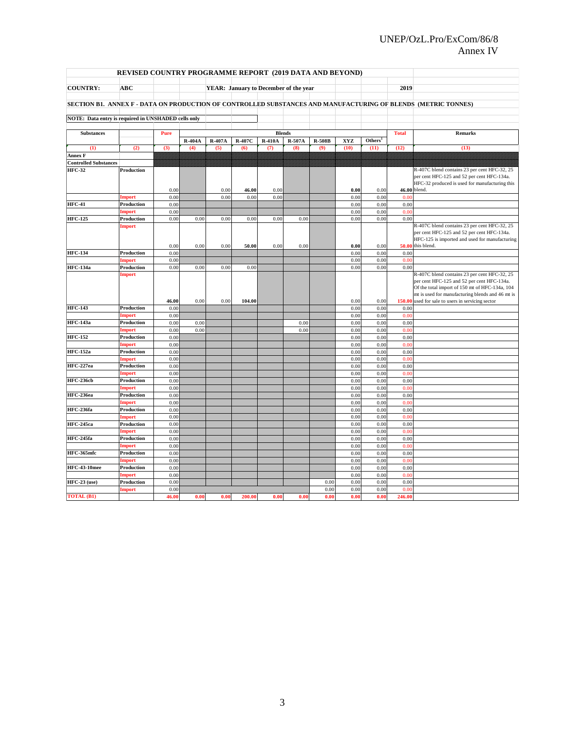#### UNEP/OzL.Pro/ExCom/86/8 Annex IV

| <b>REVISED COUNTRY PROGRAMME REPORT (2019 DATA AND BEYOND)</b> |                             |              |        |                  |        |                                          |      |                             |              |                     |              |                                                                                                                                                                                                                                                       |
|----------------------------------------------------------------|-----------------------------|--------------|--------|------------------|--------|------------------------------------------|------|-----------------------------|--------------|---------------------|--------------|-------------------------------------------------------------------------------------------------------------------------------------------------------------------------------------------------------------------------------------------------------|
| <b>COUNTRY:</b>                                                | <b>ABC</b>                  |              |        |                  |        | YEAR: January to December of the year    |      |                             |              |                     | 2019         |                                                                                                                                                                                                                                                       |
|                                                                |                             |              |        |                  |        |                                          |      |                             |              |                     |              | SECTION B1. ANNEX F - DATA ON PRODUCTION OF CONTROLLED SUBSTANCES AND MANUFACTURING OF BLENDS (METRIC TONNES)                                                                                                                                         |
|                                                                |                             |              |        |                  |        |                                          |      |                             |              |                     |              |                                                                                                                                                                                                                                                       |
| NOTE: Data entry is required in UNSHADED cells only            |                             |              |        |                  |        |                                          |      |                             |              |                     |              |                                                                                                                                                                                                                                                       |
| <b>Substances</b>                                              |                             | Pure         |        |                  |        |                                          |      |                             |              |                     | <b>Total</b> | <b>Remarks</b>                                                                                                                                                                                                                                        |
|                                                                |                             |              | R-404A | R-407A<br>R-407C |        | <b>Blends</b><br><b>R-410A</b><br>R-507A |      | <b>R-508B</b><br><b>XYZ</b> |              | Others <sup>1</sup> |              |                                                                                                                                                                                                                                                       |
| (1)                                                            | (2)                         | (3)          | (4)    | (5)              | (6)    | (7)                                      | (8)  | (9)                         | (10)         | (11)                | (12)         | (13)                                                                                                                                                                                                                                                  |
| <b>Annex F</b>                                                 |                             |              |        |                  |        |                                          |      |                             |              |                     |              |                                                                                                                                                                                                                                                       |
| <b>Controlled Substances</b>                                   |                             |              |        |                  |        |                                          |      |                             |              |                     |              |                                                                                                                                                                                                                                                       |
| <b>HFC-32</b>                                                  | Production                  |              |        |                  |        |                                          |      |                             |              |                     |              | R-407C blend contains 23 per cent HFC-32, 25<br>per cent HFC-125 and 52 per cent HFC-134a.<br>HFC-32 produced is used for manufacturing this                                                                                                          |
|                                                                |                             | 0.00         |        | 0.00             | 46.00  | 0.00                                     |      |                             | 0.00         | 0.00                | 46.00 blend. |                                                                                                                                                                                                                                                       |
| <b>HFC-41</b>                                                  | <b>Import</b><br>Production | 0.00<br>0.00 |        | 0.00             | 0.00   | 0.00                                     |      |                             | 0.00<br>0.00 | 0.00<br>0.00        | 0.00<br>0.00 |                                                                                                                                                                                                                                                       |
|                                                                | Import                      | 0.00         |        |                  |        |                                          |      |                             | 0.00         | 0.00                | 0.00         |                                                                                                                                                                                                                                                       |
| <b>HFC-125</b>                                                 | Production                  | 0.00         | 0.00   | 0.00             | 0.00   | 0.00                                     | 0.00 |                             | 0.00         | 0.00                | 0.00         |                                                                                                                                                                                                                                                       |
|                                                                | <b>Import</b>               | 0.00         | 0.00   | 0.00             | 50.00  | 0.00                                     | 0.00 |                             | 0.00         | 0.00                |              | R-407C blend contains 23 per cent HFC-32, 25<br>per cent HFC-125 and 52 per cent HFC-134a.<br>HFC-125 is imported and used for manufacturing<br>50.00 this blend.                                                                                     |
| <b>HFC-134</b>                                                 | Production                  | 0.00         |        |                  |        |                                          |      |                             | 0.00         | 0.00                | 0.00         |                                                                                                                                                                                                                                                       |
|                                                                | Import                      | 0.00         |        |                  |        |                                          |      |                             | 0.00         | 0.00                | 0.00         |                                                                                                                                                                                                                                                       |
| <b>HFC-134a</b>                                                | Production                  | 0.00         | 0.00   | 0.00             | 0.00   |                                          |      |                             | 0.00         | 0.00                | 0.00         |                                                                                                                                                                                                                                                       |
|                                                                | Import                      | 46.00        | 0.00   | 0.00             | 104.00 |                                          |      |                             | 0.00         | 0.00                |              | R-407C blend contains 23 per cent HFC-32, 25<br>per cent HFC-125 and 52 per cent HFC-134a.<br>Of the total import of 150 mt of HFC-134a, 104<br>mt is used for manufacturing blends and 46 mt is<br>150.00 used for sale to users in servicing sector |
| <b>HFC-143</b>                                                 | Production                  | 0.00         |        |                  |        |                                          |      |                             | 0.00         | 0.00                | 0.00         |                                                                                                                                                                                                                                                       |
|                                                                | Import                      | 0.00         |        |                  |        |                                          |      |                             | 0.00         | 0.00                | 0.00         |                                                                                                                                                                                                                                                       |
| <b>HFC-143a</b>                                                | <b>Production</b>           | 0.00         | 0.00   |                  |        |                                          | 0.00 |                             | 0.00         | 0.00                | 0.00         |                                                                                                                                                                                                                                                       |
|                                                                | Import                      | 0.00         | 0.00   |                  |        |                                          | 0.00 |                             | 0.00         | 0.00                | 0.0(         |                                                                                                                                                                                                                                                       |
| <b>HFC-152</b>                                                 | Production                  | 0.00         |        |                  |        |                                          |      |                             | 0.00         | 0.00                | 0.00         |                                                                                                                                                                                                                                                       |
| <b>HFC-152a</b>                                                | Import<br>Production        | 0.00         |        |                  |        |                                          |      |                             | 0.00         | 0.00<br>0.00        | 0.00         |                                                                                                                                                                                                                                                       |
|                                                                | Import                      | 0.00<br>0.00 |        |                  |        |                                          |      |                             | 0.00<br>0.00 | 0.00                | 0.00<br>0.00 |                                                                                                                                                                                                                                                       |
| HFC-227ea                                                      | Production                  | 0.00         |        |                  |        |                                          |      |                             | 0.00         | 0.00                | 0.00         |                                                                                                                                                                                                                                                       |
|                                                                | Import                      | 0.00         |        |                  |        |                                          |      |                             | 0.00         | 0.00                | 0.00         |                                                                                                                                                                                                                                                       |
| <b>HFC-236cb</b>                                               | Production                  | 0.00         |        |                  |        |                                          |      |                             | 0.00         | 0.00                | 0.00         |                                                                                                                                                                                                                                                       |
|                                                                | Import                      | 0.00         |        |                  |        |                                          |      |                             | 0.00         | 0.00                | 0.00         |                                                                                                                                                                                                                                                       |
| HFC-236ea                                                      | Production                  | 0.00         |        |                  |        |                                          |      |                             | 0.00         | 0.00                | 0.00         |                                                                                                                                                                                                                                                       |
| HFC-236fa                                                      | Import<br>Production        | 0.00<br>0.00 |        |                  |        |                                          |      |                             | 0.00<br>0.00 | 0.00<br>0.00        | 0.00<br>0.00 |                                                                                                                                                                                                                                                       |
|                                                                | Import                      | 0.00         |        |                  |        |                                          |      |                             | 0.00         | 0.00                | 0.0(         |                                                                                                                                                                                                                                                       |
| <b>HFC-245ca</b>                                               | Production                  | 0.00         |        |                  |        |                                          |      |                             | 0.00         | 0.00                | 0.00         |                                                                                                                                                                                                                                                       |
|                                                                | Import                      | 0.00         |        |                  |        |                                          |      |                             | 0.00         | 0.00                | 0.00         |                                                                                                                                                                                                                                                       |
| <b>HFC-245fa</b>                                               | Production                  | 0.00         |        |                  |        |                                          |      |                             | 0.00         | 0.00                | 0.00         |                                                                                                                                                                                                                                                       |
|                                                                | <b>Import</b>               | 0.00         |        |                  |        |                                          |      |                             | 0.00         | 0.00                | 0.00         |                                                                                                                                                                                                                                                       |
| HFC-365mfc                                                     | Production                  | 0.00         |        |                  |        |                                          |      |                             | 0.00         | 0.00                | 0.00         |                                                                                                                                                                                                                                                       |
|                                                                | <b>Import</b>               | 0.00         |        |                  |        |                                          |      |                             | 0.00         | 0.00                | 0.00         |                                                                                                                                                                                                                                                       |
| <b>HFC-43-10mee</b>                                            | Production<br>Import        | 0.00<br>0.00 |        |                  |        |                                          |      |                             | 0.00<br>0.00 | 0.00<br>0.00        | 0.00<br>0.00 |                                                                                                                                                                                                                                                       |
| <b>HFC-23</b> (use)                                            | Production                  | 0.00         |        |                  |        |                                          |      | 0.00                        | 0.00         | 0.00                | 0.00         |                                                                                                                                                                                                                                                       |
|                                                                | <b>Import</b>               | 0.00         |        |                  |        |                                          |      | 0.00                        | 0.00         | 0.00                | 0.00         |                                                                                                                                                                                                                                                       |
| <b>TOTAL (B1)</b>                                              |                             | 46.00        | 0.00   | 0.00             | 200.00 | 0.00                                     | 0.00 | 0.00                        | 0.00         | 0.00                | 246.00       |                                                                                                                                                                                                                                                       |